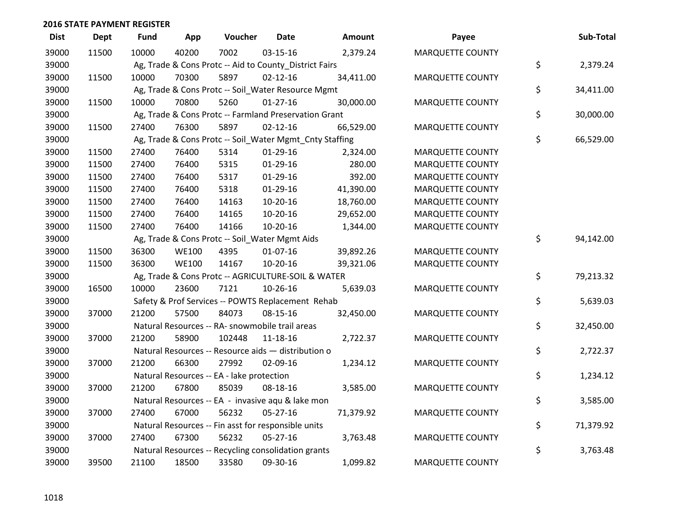| <b>Dist</b> | <b>Dept</b> | Fund  | App          | Voucher                                                 | <b>Date</b>    | <b>Amount</b> | Payee                   | Sub-Total       |
|-------------|-------------|-------|--------------|---------------------------------------------------------|----------------|---------------|-------------------------|-----------------|
| 39000       | 11500       | 10000 | 40200        | 7002                                                    | 03-15-16       | 2,379.24      | <b>MARQUETTE COUNTY</b> |                 |
| 39000       |             |       |              | Ag, Trade & Cons Protc -- Aid to County_District Fairs  |                |               |                         | \$<br>2,379.24  |
| 39000       | 11500       | 10000 | 70300        | 5897                                                    | $02 - 12 - 16$ | 34,411.00     | <b>MARQUETTE COUNTY</b> |                 |
| 39000       |             |       |              | Ag, Trade & Cons Protc -- Soil_Water Resource Mgmt      |                |               |                         | \$<br>34,411.00 |
| 39000       | 11500       | 10000 | 70800        | 5260                                                    | $01-27-16$     | 30,000.00     | MARQUETTE COUNTY        |                 |
| 39000       |             |       |              | Ag, Trade & Cons Protc -- Farmland Preservation Grant   |                |               |                         | \$<br>30,000.00 |
| 39000       | 11500       | 27400 | 76300        | 5897                                                    | $02 - 12 - 16$ | 66,529.00     | <b>MARQUETTE COUNTY</b> |                 |
| 39000       |             |       |              | Ag, Trade & Cons Protc -- Soil_Water Mgmt_Cnty Staffing |                |               |                         | \$<br>66,529.00 |
| 39000       | 11500       | 27400 | 76400        | 5314                                                    | $01-29-16$     | 2,324.00      | <b>MARQUETTE COUNTY</b> |                 |
| 39000       | 11500       | 27400 | 76400        | 5315                                                    | $01-29-16$     | 280.00        | <b>MARQUETTE COUNTY</b> |                 |
| 39000       | 11500       | 27400 | 76400        | 5317                                                    | 01-29-16       | 392.00        | <b>MARQUETTE COUNTY</b> |                 |
| 39000       | 11500       | 27400 | 76400        | 5318                                                    | $01-29-16$     | 41,390.00     | <b>MARQUETTE COUNTY</b> |                 |
| 39000       | 11500       | 27400 | 76400        | 14163                                                   | 10-20-16       | 18,760.00     | <b>MARQUETTE COUNTY</b> |                 |
| 39000       | 11500       | 27400 | 76400        | 14165                                                   | 10-20-16       | 29,652.00     | <b>MARQUETTE COUNTY</b> |                 |
| 39000       | 11500       | 27400 | 76400        | 14166                                                   | 10-20-16       | 1,344.00      | MARQUETTE COUNTY        |                 |
| 39000       |             |       |              | Ag, Trade & Cons Protc -- Soil_Water Mgmt Aids          |                |               |                         | \$<br>94,142.00 |
| 39000       | 11500       | 36300 | <b>WE100</b> | 4395                                                    | $01-07-16$     | 39,892.26     | <b>MARQUETTE COUNTY</b> |                 |
| 39000       | 11500       | 36300 | <b>WE100</b> | 14167                                                   | 10-20-16       | 39,321.06     | <b>MARQUETTE COUNTY</b> |                 |
| 39000       |             |       |              | Ag, Trade & Cons Protc -- AGRICULTURE-SOIL & WATER      |                |               |                         | \$<br>79,213.32 |
| 39000       | 16500       | 10000 | 23600        | 7121                                                    | 10-26-16       | 5,639.03      | <b>MARQUETTE COUNTY</b> |                 |
| 39000       |             |       |              | Safety & Prof Services -- POWTS Replacement Rehab       |                |               |                         | \$<br>5,639.03  |
| 39000       | 37000       | 21200 | 57500        | 84073                                                   | 08-15-16       | 32,450.00     | MARQUETTE COUNTY        |                 |
| 39000       |             |       |              | Natural Resources -- RA- snowmobile trail areas         |                |               |                         | \$<br>32,450.00 |
| 39000       | 37000       | 21200 | 58900        | 102448                                                  | 11-18-16       | 2,722.37      | <b>MARQUETTE COUNTY</b> |                 |
| 39000       |             |       |              | Natural Resources -- Resource aids - distribution o     |                |               |                         | \$<br>2,722.37  |
| 39000       | 37000       | 21200 | 66300        | 27992                                                   | 02-09-16       | 1,234.12      | <b>MARQUETTE COUNTY</b> |                 |
| 39000       |             |       |              | Natural Resources -- EA - lake protection               |                |               |                         | \$<br>1,234.12  |
| 39000       | 37000       | 21200 | 67800        | 85039                                                   | 08-18-16       | 3,585.00      | <b>MARQUETTE COUNTY</b> |                 |
| 39000       |             |       |              | Natural Resources -- EA - invasive aqu & lake mon       |                |               |                         | \$<br>3,585.00  |
| 39000       | 37000       | 27400 | 67000        | 56232                                                   | $05 - 27 - 16$ | 71,379.92     | <b>MARQUETTE COUNTY</b> |                 |
| 39000       |             |       |              | Natural Resources -- Fin asst for responsible units     |                |               |                         | \$<br>71,379.92 |
| 39000       | 37000       | 27400 | 67300        | 56232                                                   | 05-27-16       | 3,763.48      | <b>MARQUETTE COUNTY</b> |                 |
| 39000       |             |       |              | Natural Resources -- Recycling consolidation grants     |                |               |                         | \$<br>3,763.48  |
| 39000       | 39500       | 21100 | 18500        | 33580                                                   | 09-30-16       | 1,099.82      | <b>MARQUETTE COUNTY</b> |                 |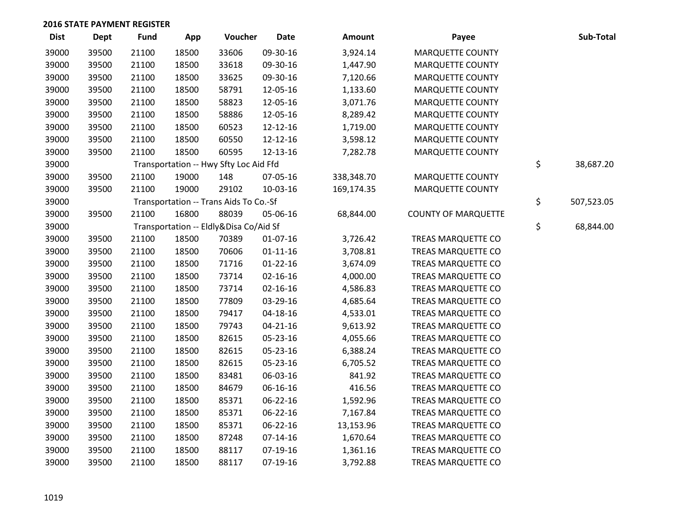| <b>Dist</b> | <b>Dept</b> | <b>Fund</b> | App   | Voucher                                | <b>Date</b>    | Amount     | Payee                      | Sub-Total        |
|-------------|-------------|-------------|-------|----------------------------------------|----------------|------------|----------------------------|------------------|
| 39000       | 39500       | 21100       | 18500 | 33606                                  | 09-30-16       | 3,924.14   | <b>MARQUETTE COUNTY</b>    |                  |
| 39000       | 39500       | 21100       | 18500 | 33618                                  | 09-30-16       | 1,447.90   | <b>MARQUETTE COUNTY</b>    |                  |
| 39000       | 39500       | 21100       | 18500 | 33625                                  | 09-30-16       | 7,120.66   | MARQUETTE COUNTY           |                  |
| 39000       | 39500       | 21100       | 18500 | 58791                                  | 12-05-16       | 1,133.60   | <b>MARQUETTE COUNTY</b>    |                  |
| 39000       | 39500       | 21100       | 18500 | 58823                                  | 12-05-16       | 3,071.76   | MARQUETTE COUNTY           |                  |
| 39000       | 39500       | 21100       | 18500 | 58886                                  | 12-05-16       | 8,289.42   | <b>MARQUETTE COUNTY</b>    |                  |
| 39000       | 39500       | 21100       | 18500 | 60523                                  | 12-12-16       | 1,719.00   | <b>MARQUETTE COUNTY</b>    |                  |
| 39000       | 39500       | 21100       | 18500 | 60550                                  | 12-12-16       | 3,598.12   | <b>MARQUETTE COUNTY</b>    |                  |
| 39000       | 39500       | 21100       | 18500 | 60595                                  | 12-13-16       | 7,282.78   | MARQUETTE COUNTY           |                  |
| 39000       |             |             |       | Transportation -- Hwy Sfty Loc Aid Ffd |                |            |                            | \$<br>38,687.20  |
| 39000       | 39500       | 21100       | 19000 | 148                                    | 07-05-16       | 338,348.70 | MARQUETTE COUNTY           |                  |
| 39000       | 39500       | 21100       | 19000 | 29102                                  | 10-03-16       | 169,174.35 | MARQUETTE COUNTY           |                  |
| 39000       |             |             |       | Transportation -- Trans Aids To Co.-Sf |                |            |                            | \$<br>507,523.05 |
| 39000       | 39500       | 21100       | 16800 | 88039                                  | 05-06-16       | 68,844.00  | <b>COUNTY OF MARQUETTE</b> |                  |
| 39000       |             |             |       | Transportation -- Eldly&Disa Co/Aid Sf |                |            |                            | \$<br>68,844.00  |
| 39000       | 39500       | 21100       | 18500 | 70389                                  | $01-07-16$     | 3,726.42   | TREAS MARQUETTE CO         |                  |
| 39000       | 39500       | 21100       | 18500 | 70606                                  | $01 - 11 - 16$ | 3,708.81   | TREAS MARQUETTE CO         |                  |
| 39000       | 39500       | 21100       | 18500 | 71716                                  | $01 - 22 - 16$ | 3,674.09   | TREAS MARQUETTE CO         |                  |
| 39000       | 39500       | 21100       | 18500 | 73714                                  | $02 - 16 - 16$ | 4,000.00   | TREAS MARQUETTE CO         |                  |
| 39000       | 39500       | 21100       | 18500 | 73714                                  | $02 - 16 - 16$ | 4,586.83   | TREAS MARQUETTE CO         |                  |
| 39000       | 39500       | 21100       | 18500 | 77809                                  | 03-29-16       | 4,685.64   | TREAS MARQUETTE CO         |                  |
| 39000       | 39500       | 21100       | 18500 | 79417                                  | 04-18-16       | 4,533.01   | TREAS MARQUETTE CO         |                  |
| 39000       | 39500       | 21100       | 18500 | 79743                                  | $04 - 21 - 16$ | 9,613.92   | TREAS MARQUETTE CO         |                  |
| 39000       | 39500       | 21100       | 18500 | 82615                                  | 05-23-16       | 4,055.66   | TREAS MARQUETTE CO         |                  |
| 39000       | 39500       | 21100       | 18500 | 82615                                  | 05-23-16       | 6,388.24   | TREAS MARQUETTE CO         |                  |
| 39000       | 39500       | 21100       | 18500 | 82615                                  | 05-23-16       | 6,705.52   | TREAS MARQUETTE CO         |                  |
| 39000       | 39500       | 21100       | 18500 | 83481                                  | 06-03-16       | 841.92     | TREAS MARQUETTE CO         |                  |
| 39000       | 39500       | 21100       | 18500 | 84679                                  | 06-16-16       | 416.56     | TREAS MARQUETTE CO         |                  |
| 39000       | 39500       | 21100       | 18500 | 85371                                  | 06-22-16       | 1,592.96   | TREAS MARQUETTE CO         |                  |
| 39000       | 39500       | 21100       | 18500 | 85371                                  | 06-22-16       | 7,167.84   | TREAS MARQUETTE CO         |                  |
| 39000       | 39500       | 21100       | 18500 | 85371                                  | 06-22-16       | 13,153.96  | TREAS MARQUETTE CO         |                  |
| 39000       | 39500       | 21100       | 18500 | 87248                                  | $07-14-16$     | 1,670.64   | TREAS MARQUETTE CO         |                  |
| 39000       | 39500       | 21100       | 18500 | 88117                                  | 07-19-16       | 1,361.16   | TREAS MARQUETTE CO         |                  |
| 39000       | 39500       | 21100       | 18500 | 88117                                  | 07-19-16       | 3,792.88   | TREAS MARQUETTE CO         |                  |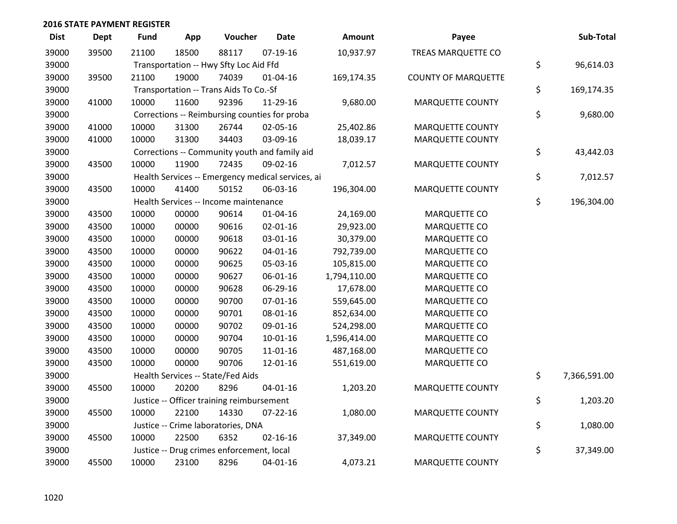| <b>Dist</b> | Dept  | <b>Fund</b> | App   | Voucher                                           | <b>Date</b>    | Amount       | Payee                      | Sub-Total          |
|-------------|-------|-------------|-------|---------------------------------------------------|----------------|--------------|----------------------------|--------------------|
| 39000       | 39500 | 21100       | 18500 | 88117                                             | $07-19-16$     | 10,937.97    | TREAS MARQUETTE CO         |                    |
| 39000       |       |             |       | Transportation -- Hwy Sfty Loc Aid Ffd            |                |              |                            | \$<br>96,614.03    |
| 39000       | 39500 | 21100       | 19000 | 74039                                             | $01 - 04 - 16$ | 169,174.35   | <b>COUNTY OF MARQUETTE</b> |                    |
| 39000       |       |             |       | Transportation -- Trans Aids To Co.-Sf            |                |              |                            | \$<br>169,174.35   |
| 39000       | 41000 | 10000       | 11600 | 92396                                             | 11-29-16       | 9,680.00     | <b>MARQUETTE COUNTY</b>    |                    |
| 39000       |       |             |       | Corrections -- Reimbursing counties for proba     |                |              |                            | \$<br>9,680.00     |
| 39000       | 41000 | 10000       | 31300 | 26744                                             | 02-05-16       | 25,402.86    | <b>MARQUETTE COUNTY</b>    |                    |
| 39000       | 41000 | 10000       | 31300 | 34403                                             | 03-09-16       | 18,039.17    | MARQUETTE COUNTY           |                    |
| 39000       |       |             |       | Corrections -- Community youth and family aid     |                |              |                            | \$<br>43,442.03    |
| 39000       | 43500 | 10000       | 11900 | 72435                                             | 09-02-16       | 7,012.57     | <b>MARQUETTE COUNTY</b>    |                    |
| 39000       |       |             |       | Health Services -- Emergency medical services, ai |                |              |                            | \$<br>7,012.57     |
| 39000       | 43500 | 10000       | 41400 | 50152                                             | 06-03-16       | 196,304.00   | <b>MARQUETTE COUNTY</b>    |                    |
| 39000       |       |             |       | Health Services -- Income maintenance             |                |              |                            | \$<br>196,304.00   |
| 39000       | 43500 | 10000       | 00000 | 90614                                             | $01 - 04 - 16$ | 24,169.00    | MARQUETTE CO               |                    |
| 39000       | 43500 | 10000       | 00000 | 90616                                             | $02 - 01 - 16$ | 29,923.00    | <b>MARQUETTE CO</b>        |                    |
| 39000       | 43500 | 10000       | 00000 | 90618                                             | 03-01-16       | 30,379.00    | MARQUETTE CO               |                    |
| 39000       | 43500 | 10000       | 00000 | 90622                                             | $04 - 01 - 16$ | 792,739.00   | MARQUETTE CO               |                    |
| 39000       | 43500 | 10000       | 00000 | 90625                                             | 05-03-16       | 105,815.00   | MARQUETTE CO               |                    |
| 39000       | 43500 | 10000       | 00000 | 90627                                             | 06-01-16       | 1,794,110.00 | MARQUETTE CO               |                    |
| 39000       | 43500 | 10000       | 00000 | 90628                                             | 06-29-16       | 17,678.00    | MARQUETTE CO               |                    |
| 39000       | 43500 | 10000       | 00000 | 90700                                             | $07 - 01 - 16$ | 559,645.00   | MARQUETTE CO               |                    |
| 39000       | 43500 | 10000       | 00000 | 90701                                             | 08-01-16       | 852,634.00   | <b>MARQUETTE CO</b>        |                    |
| 39000       | 43500 | 10000       | 00000 | 90702                                             | 09-01-16       | 524,298.00   | MARQUETTE CO               |                    |
| 39000       | 43500 | 10000       | 00000 | 90704                                             | $10-01-16$     | 1,596,414.00 | MARQUETTE CO               |                    |
| 39000       | 43500 | 10000       | 00000 | 90705                                             | $11 - 01 - 16$ | 487,168.00   | MARQUETTE CO               |                    |
| 39000       | 43500 | 10000       | 00000 | 90706                                             | 12-01-16       | 551,619.00   | MARQUETTE CO               |                    |
| 39000       |       |             |       | Health Services -- State/Fed Aids                 |                |              |                            | \$<br>7,366,591.00 |
| 39000       | 45500 | 10000       | 20200 | 8296                                              | $04 - 01 - 16$ | 1,203.20     | MARQUETTE COUNTY           |                    |
| 39000       |       |             |       | Justice -- Officer training reimbursement         |                |              |                            | \$<br>1,203.20     |
| 39000       | 45500 | 10000       | 22100 | 14330                                             | $07 - 22 - 16$ | 1,080.00     | <b>MARQUETTE COUNTY</b>    |                    |
| 39000       |       |             |       | Justice -- Crime laboratories, DNA                |                |              |                            | \$<br>1,080.00     |
| 39000       | 45500 | 10000       | 22500 | 6352                                              | $02 - 16 - 16$ | 37,349.00    | <b>MARQUETTE COUNTY</b>    |                    |
| 39000       |       |             |       | Justice -- Drug crimes enforcement, local         |                |              |                            | \$<br>37,349.00    |
| 39000       | 45500 | 10000       | 23100 | 8296                                              | $04 - 01 - 16$ | 4,073.21     | <b>MARQUETTE COUNTY</b>    |                    |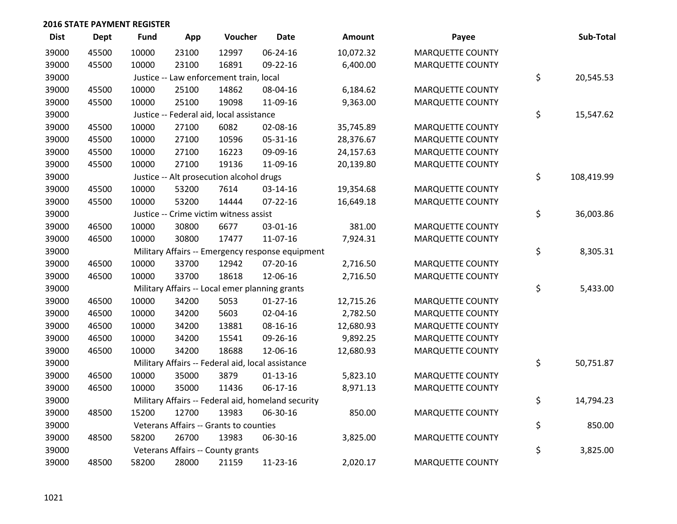| <b>Dist</b> | <b>Dept</b> | <b>Fund</b> | App   | Voucher                                           | <b>Date</b>                                        | <b>Amount</b> | Payee                   | Sub-Total        |
|-------------|-------------|-------------|-------|---------------------------------------------------|----------------------------------------------------|---------------|-------------------------|------------------|
| 39000       | 45500       | 10000       | 23100 | 12997                                             | 06-24-16                                           | 10,072.32     | <b>MARQUETTE COUNTY</b> |                  |
| 39000       | 45500       | 10000       | 23100 | 16891                                             | 09-22-16                                           | 6,400.00      | <b>MARQUETTE COUNTY</b> |                  |
| 39000       |             |             |       | Justice -- Law enforcement train, local           |                                                    |               |                         | \$<br>20,545.53  |
| 39000       | 45500       | 10000       | 25100 | 14862                                             | 08-04-16                                           | 6,184.62      | <b>MARQUETTE COUNTY</b> |                  |
| 39000       | 45500       | 10000       | 25100 | 19098                                             | 11-09-16                                           | 9,363.00      | <b>MARQUETTE COUNTY</b> |                  |
| 39000       |             |             |       | Justice -- Federal aid, local assistance          |                                                    |               |                         | \$<br>15,547.62  |
| 39000       | 45500       | 10000       | 27100 | 6082                                              | 02-08-16                                           | 35,745.89     | <b>MARQUETTE COUNTY</b> |                  |
| 39000       | 45500       | 10000       | 27100 | 10596                                             | 05-31-16                                           | 28,376.67     | <b>MARQUETTE COUNTY</b> |                  |
| 39000       | 45500       | 10000       | 27100 | 16223                                             | 09-09-16                                           | 24,157.63     | <b>MARQUETTE COUNTY</b> |                  |
| 39000       | 45500       | 10000       | 27100 | 19136                                             | 11-09-16                                           | 20,139.80     | MARQUETTE COUNTY        |                  |
| 39000       |             |             |       | Justice -- Alt prosecution alcohol drugs          |                                                    |               |                         | \$<br>108,419.99 |
| 39000       | 45500       | 10000       | 53200 | 7614                                              | 03-14-16                                           | 19,354.68     | <b>MARQUETTE COUNTY</b> |                  |
| 39000       | 45500       | 10000       | 53200 | 14444                                             | $07 - 22 - 16$                                     | 16,649.18     | <b>MARQUETTE COUNTY</b> |                  |
| 39000       |             |             |       | Justice -- Crime victim witness assist            |                                                    |               |                         | \$<br>36,003.86  |
| 39000       | 46500       | 10000       | 30800 | 6677                                              | 03-01-16                                           | 381.00        | <b>MARQUETTE COUNTY</b> |                  |
| 39000       | 46500       | 10000       | 30800 | 17477                                             | 11-07-16                                           | 7,924.31      | <b>MARQUETTE COUNTY</b> |                  |
| 39000       |             |             |       |                                                   | Military Affairs -- Emergency response equipment   |               |                         | \$<br>8,305.31   |
| 39000       | 46500       | 10000       | 33700 | 12942                                             | 07-20-16                                           | 2,716.50      | MARQUETTE COUNTY        |                  |
| 39000       | 46500       | 10000       | 33700 | 18618                                             | 12-06-16                                           | 2,716.50      | MARQUETTE COUNTY        |                  |
| 39000       |             |             |       | Military Affairs -- Local emer planning grants    |                                                    |               |                         | \$<br>5,433.00   |
| 39000       | 46500       | 10000       | 34200 | 5053                                              | $01 - 27 - 16$                                     | 12,715.26     | <b>MARQUETTE COUNTY</b> |                  |
| 39000       | 46500       | 10000       | 34200 | 5603                                              | 02-04-16                                           | 2,782.50      | <b>MARQUETTE COUNTY</b> |                  |
| 39000       | 46500       | 10000       | 34200 | 13881                                             | 08-16-16                                           | 12,680.93     | <b>MARQUETTE COUNTY</b> |                  |
| 39000       | 46500       | 10000       | 34200 | 15541                                             | 09-26-16                                           | 9,892.25      | MARQUETTE COUNTY        |                  |
| 39000       | 46500       | 10000       | 34200 | 18688                                             | 12-06-16                                           | 12,680.93     | <b>MARQUETTE COUNTY</b> |                  |
| 39000       |             |             |       | Military Affairs -- Federal aid, local assistance |                                                    |               |                         | \$<br>50,751.87  |
| 39000       | 46500       | 10000       | 35000 | 3879                                              | $01-13-16$                                         | 5,823.10      | <b>MARQUETTE COUNTY</b> |                  |
| 39000       | 46500       | 10000       | 35000 | 11436                                             | $06-17-16$                                         | 8,971.13      | MARQUETTE COUNTY        |                  |
| 39000       |             |             |       |                                                   | Military Affairs -- Federal aid, homeland security |               |                         | \$<br>14,794.23  |
| 39000       | 48500       | 15200       | 12700 | 13983                                             | 06-30-16                                           | 850.00        | <b>MARQUETTE COUNTY</b> |                  |
| 39000       |             |             |       | Veterans Affairs -- Grants to counties            |                                                    |               |                         | \$<br>850.00     |
| 39000       | 48500       | 58200       | 26700 | 13983                                             | 06-30-16                                           | 3,825.00      | <b>MARQUETTE COUNTY</b> |                  |
| 39000       |             |             |       | Veterans Affairs -- County grants                 |                                                    |               |                         | \$<br>3,825.00   |
| 39000       | 48500       | 58200       | 28000 | 21159                                             | 11-23-16                                           | 2,020.17      | <b>MARQUETTE COUNTY</b> |                  |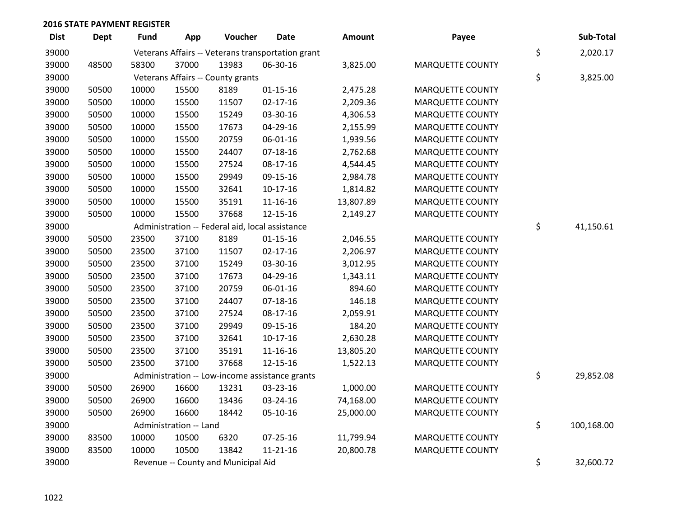| <b>Dist</b> | <b>Dept</b> | <b>Fund</b> | App                    | Voucher                                         | <b>Date</b>                                       | Amount    | Payee                   | Sub-Total        |
|-------------|-------------|-------------|------------------------|-------------------------------------------------|---------------------------------------------------|-----------|-------------------------|------------------|
| 39000       |             |             |                        |                                                 | Veterans Affairs -- Veterans transportation grant |           |                         | \$<br>2,020.17   |
| 39000       | 48500       | 58300       | 37000                  | 13983                                           | 06-30-16                                          | 3,825.00  | <b>MARQUETTE COUNTY</b> |                  |
| 39000       |             |             |                        | Veterans Affairs -- County grants               |                                                   |           |                         | \$<br>3,825.00   |
| 39000       | 50500       | 10000       | 15500                  | 8189                                            | $01 - 15 - 16$                                    | 2,475.28  | <b>MARQUETTE COUNTY</b> |                  |
| 39000       | 50500       | 10000       | 15500                  | 11507                                           | $02 - 17 - 16$                                    | 2,209.36  | <b>MARQUETTE COUNTY</b> |                  |
| 39000       | 50500       | 10000       | 15500                  | 15249                                           | 03-30-16                                          | 4,306.53  | <b>MARQUETTE COUNTY</b> |                  |
| 39000       | 50500       | 10000       | 15500                  | 17673                                           | 04-29-16                                          | 2,155.99  | <b>MARQUETTE COUNTY</b> |                  |
| 39000       | 50500       | 10000       | 15500                  | 20759                                           | 06-01-16                                          | 1,939.56  | <b>MARQUETTE COUNTY</b> |                  |
| 39000       | 50500       | 10000       | 15500                  | 24407                                           | 07-18-16                                          | 2,762.68  | MARQUETTE COUNTY        |                  |
| 39000       | 50500       | 10000       | 15500                  | 27524                                           | 08-17-16                                          | 4,544.45  | MARQUETTE COUNTY        |                  |
| 39000       | 50500       | 10000       | 15500                  | 29949                                           | 09-15-16                                          | 2,984.78  | <b>MARQUETTE COUNTY</b> |                  |
| 39000       | 50500       | 10000       | 15500                  | 32641                                           | $10-17-16$                                        | 1,814.82  | <b>MARQUETTE COUNTY</b> |                  |
| 39000       | 50500       | 10000       | 15500                  | 35191                                           | 11-16-16                                          | 13,807.89 | MARQUETTE COUNTY        |                  |
| 39000       | 50500       | 10000       | 15500                  | 37668                                           | 12-15-16                                          | 2,149.27  | <b>MARQUETTE COUNTY</b> |                  |
| 39000       |             |             |                        | Administration -- Federal aid, local assistance |                                                   |           |                         | \$<br>41,150.61  |
| 39000       | 50500       | 23500       | 37100                  | 8189                                            | $01 - 15 - 16$                                    | 2,046.55  | <b>MARQUETTE COUNTY</b> |                  |
| 39000       | 50500       | 23500       | 37100                  | 11507                                           | 02-17-16                                          | 2,206.97  | <b>MARQUETTE COUNTY</b> |                  |
| 39000       | 50500       | 23500       | 37100                  | 15249                                           | 03-30-16                                          | 3,012.95  | <b>MARQUETTE COUNTY</b> |                  |
| 39000       | 50500       | 23500       | 37100                  | 17673                                           | 04-29-16                                          | 1,343.11  | <b>MARQUETTE COUNTY</b> |                  |
| 39000       | 50500       | 23500       | 37100                  | 20759                                           | 06-01-16                                          | 894.60    | MARQUETTE COUNTY        |                  |
| 39000       | 50500       | 23500       | 37100                  | 24407                                           | $07-18-16$                                        | 146.18    | <b>MARQUETTE COUNTY</b> |                  |
| 39000       | 50500       | 23500       | 37100                  | 27524                                           | 08-17-16                                          | 2,059.91  | <b>MARQUETTE COUNTY</b> |                  |
| 39000       | 50500       | 23500       | 37100                  | 29949                                           | 09-15-16                                          | 184.20    | <b>MARQUETTE COUNTY</b> |                  |
| 39000       | 50500       | 23500       | 37100                  | 32641                                           | $10-17-16$                                        | 2,630.28  | <b>MARQUETTE COUNTY</b> |                  |
| 39000       | 50500       | 23500       | 37100                  | 35191                                           | 11-16-16                                          | 13,805.20 | <b>MARQUETTE COUNTY</b> |                  |
| 39000       | 50500       | 23500       | 37100                  | 37668                                           | 12-15-16                                          | 1,522.13  | <b>MARQUETTE COUNTY</b> |                  |
| 39000       |             |             |                        |                                                 | Administration -- Low-income assistance grants    |           |                         | \$<br>29,852.08  |
| 39000       | 50500       | 26900       | 16600                  | 13231                                           | 03-23-16                                          | 1,000.00  | <b>MARQUETTE COUNTY</b> |                  |
| 39000       | 50500       | 26900       | 16600                  | 13436                                           | 03-24-16                                          | 74,168.00 | <b>MARQUETTE COUNTY</b> |                  |
| 39000       | 50500       | 26900       | 16600                  | 18442                                           | 05-10-16                                          | 25,000.00 | <b>MARQUETTE COUNTY</b> |                  |
| 39000       |             |             | Administration -- Land |                                                 |                                                   |           |                         | \$<br>100,168.00 |
| 39000       | 83500       | 10000       | 10500                  | 6320                                            | 07-25-16                                          | 11,799.94 | MARQUETTE COUNTY        |                  |
| 39000       | 83500       | 10000       | 10500                  | 13842                                           | $11 - 21 - 16$                                    | 20,800.78 | <b>MARQUETTE COUNTY</b> |                  |
| 39000       |             |             |                        | Revenue -- County and Municipal Aid             |                                                   |           |                         | \$<br>32,600.72  |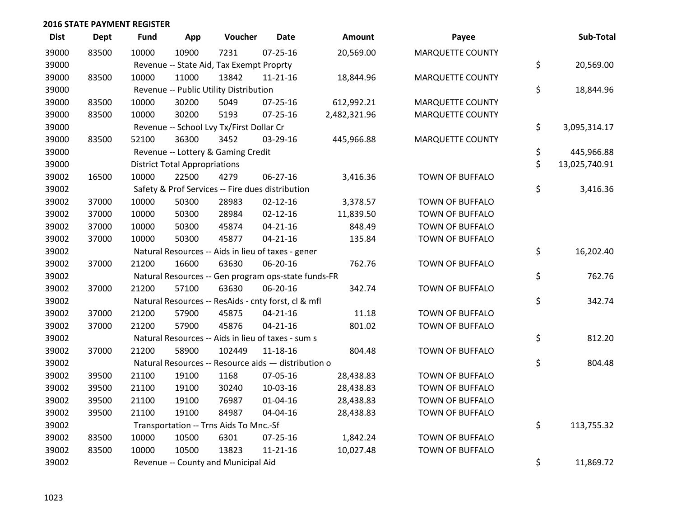| <b>Dist</b> | <b>Dept</b> | <b>Fund</b> | App                                  | Voucher                                             | <b>Date</b>    | Amount       | Payee                   | Sub-Total           |
|-------------|-------------|-------------|--------------------------------------|-----------------------------------------------------|----------------|--------------|-------------------------|---------------------|
| 39000       | 83500       | 10000       | 10900                                | 7231                                                | $07 - 25 - 16$ | 20,569.00    | <b>MARQUETTE COUNTY</b> |                     |
| 39000       |             |             |                                      | Revenue -- State Aid, Tax Exempt Proprty            |                |              |                         | \$<br>20,569.00     |
| 39000       | 83500       | 10000       | 11000                                | 13842                                               | $11 - 21 - 16$ | 18,844.96    | <b>MARQUETTE COUNTY</b> |                     |
| 39000       |             |             |                                      | Revenue -- Public Utility Distribution              |                |              |                         | \$<br>18,844.96     |
| 39000       | 83500       | 10000       | 30200                                | 5049                                                | 07-25-16       | 612,992.21   | <b>MARQUETTE COUNTY</b> |                     |
| 39000       | 83500       | 10000       | 30200                                | 5193                                                | $07 - 25 - 16$ | 2,482,321.96 | <b>MARQUETTE COUNTY</b> |                     |
| 39000       |             |             |                                      | Revenue -- School Lvy Tx/First Dollar Cr            |                |              |                         | \$<br>3,095,314.17  |
| 39000       | 83500       | 52100       | 36300                                | 3452                                                | 03-29-16       | 445,966.88   | <b>MARQUETTE COUNTY</b> |                     |
| 39000       |             |             |                                      | Revenue -- Lottery & Gaming Credit                  |                |              |                         | \$<br>445,966.88    |
| 39000       |             |             | <b>District Total Appropriations</b> |                                                     |                |              |                         | \$<br>13,025,740.91 |
| 39002       | 16500       | 10000       | 22500                                | 4279                                                | 06-27-16       | 3,416.36     | TOWN OF BUFFALO         |                     |
| 39002       |             |             |                                      | Safety & Prof Services -- Fire dues distribution    |                |              |                         | \$<br>3,416.36      |
| 39002       | 37000       | 10000       | 50300                                | 28983                                               | $02 - 12 - 16$ | 3,378.57     | <b>TOWN OF BUFFALO</b>  |                     |
| 39002       | 37000       | 10000       | 50300                                | 28984                                               | $02 - 12 - 16$ | 11,839.50    | <b>TOWN OF BUFFALO</b>  |                     |
| 39002       | 37000       | 10000       | 50300                                | 45874                                               | $04 - 21 - 16$ | 848.49       | TOWN OF BUFFALO         |                     |
| 39002       | 37000       | 10000       | 50300                                | 45877                                               | $04 - 21 - 16$ | 135.84       | <b>TOWN OF BUFFALO</b>  |                     |
| 39002       |             |             |                                      | Natural Resources -- Aids in lieu of taxes - gener  |                |              |                         | \$<br>16,202.40     |
| 39002       | 37000       | 21200       | 16600                                | 63630                                               | 06-20-16       | 762.76       | TOWN OF BUFFALO         |                     |
| 39002       |             |             |                                      | Natural Resources -- Gen program ops-state funds-FR |                |              |                         | \$<br>762.76        |
| 39002       | 37000       | 21200       | 57100                                | 63630                                               | 06-20-16       | 342.74       | TOWN OF BUFFALO         |                     |
| 39002       |             |             |                                      | Natural Resources -- ResAids - cnty forst, cl & mfl |                |              |                         | \$<br>342.74        |
| 39002       | 37000       | 21200       | 57900                                | 45875                                               | $04 - 21 - 16$ | 11.18        | TOWN OF BUFFALO         |                     |
| 39002       | 37000       | 21200       | 57900                                | 45876                                               | $04 - 21 - 16$ | 801.02       | TOWN OF BUFFALO         |                     |
| 39002       |             |             |                                      | Natural Resources -- Aids in lieu of taxes - sum s  |                |              |                         | \$<br>812.20        |
| 39002       | 37000       | 21200       | 58900                                | 102449                                              | $11 - 18 - 16$ | 804.48       | <b>TOWN OF BUFFALO</b>  |                     |
| 39002       |             |             |                                      | Natural Resources -- Resource aids - distribution o |                |              |                         | \$<br>804.48        |
| 39002       | 39500       | 21100       | 19100                                | 1168                                                | 07-05-16       | 28,438.83    | TOWN OF BUFFALO         |                     |
| 39002       | 39500       | 21100       | 19100                                | 30240                                               | 10-03-16       | 28,438.83    | <b>TOWN OF BUFFALO</b>  |                     |
| 39002       | 39500       | 21100       | 19100                                | 76987                                               | $01 - 04 - 16$ | 28,438.83    | <b>TOWN OF BUFFALO</b>  |                     |
| 39002       | 39500       | 21100       | 19100                                | 84987                                               | 04-04-16       | 28,438.83    | TOWN OF BUFFALO         |                     |
| 39002       |             |             |                                      | Transportation -- Trns Aids To Mnc.-Sf              |                |              |                         | \$<br>113,755.32    |
| 39002       | 83500       | 10000       | 10500                                | 6301                                                | $07 - 25 - 16$ | 1,842.24     | <b>TOWN OF BUFFALO</b>  |                     |
| 39002       | 83500       | 10000       | 10500                                | 13823                                               | $11 - 21 - 16$ | 10,027.48    | <b>TOWN OF BUFFALO</b>  |                     |
| 39002       |             |             |                                      | Revenue -- County and Municipal Aid                 |                |              |                         | \$<br>11,869.72     |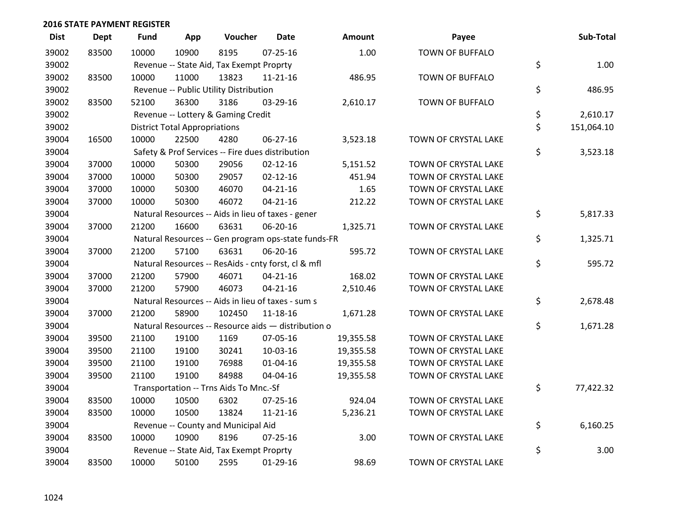| <b>Dist</b> | <b>Dept</b> | Fund  | App                                  | Voucher                                             | <b>Date</b>    | <b>Amount</b> | Payee                  | Sub-Total        |
|-------------|-------------|-------|--------------------------------------|-----------------------------------------------------|----------------|---------------|------------------------|------------------|
| 39002       | 83500       | 10000 | 10900                                | 8195                                                | $07 - 25 - 16$ | 1.00          | <b>TOWN OF BUFFALO</b> |                  |
| 39002       |             |       |                                      | Revenue -- State Aid, Tax Exempt Proprty            |                |               |                        | \$<br>1.00       |
| 39002       | 83500       | 10000 | 11000                                | 13823                                               | $11 - 21 - 16$ | 486.95        | TOWN OF BUFFALO        |                  |
| 39002       |             |       |                                      | Revenue -- Public Utility Distribution              |                |               |                        | \$<br>486.95     |
| 39002       | 83500       | 52100 | 36300                                | 3186                                                | 03-29-16       | 2,610.17      | TOWN OF BUFFALO        |                  |
| 39002       |             |       |                                      | Revenue -- Lottery & Gaming Credit                  |                |               |                        | \$<br>2,610.17   |
| 39002       |             |       | <b>District Total Appropriations</b> |                                                     |                |               |                        | \$<br>151,064.10 |
| 39004       | 16500       | 10000 | 22500                                | 4280                                                | 06-27-16       | 3,523.18      | TOWN OF CRYSTAL LAKE   |                  |
| 39004       |             |       |                                      | Safety & Prof Services -- Fire dues distribution    |                |               |                        | \$<br>3,523.18   |
| 39004       | 37000       | 10000 | 50300                                | 29056                                               | $02 - 12 - 16$ | 5,151.52      | TOWN OF CRYSTAL LAKE   |                  |
| 39004       | 37000       | 10000 | 50300                                | 29057                                               | $02 - 12 - 16$ | 451.94        | TOWN OF CRYSTAL LAKE   |                  |
| 39004       | 37000       | 10000 | 50300                                | 46070                                               | $04 - 21 - 16$ | 1.65          | TOWN OF CRYSTAL LAKE   |                  |
| 39004       | 37000       | 10000 | 50300                                | 46072                                               | $04 - 21 - 16$ | 212.22        | TOWN OF CRYSTAL LAKE   |                  |
| 39004       |             |       |                                      | Natural Resources -- Aids in lieu of taxes - gener  |                |               |                        | \$<br>5,817.33   |
| 39004       | 37000       | 21200 | 16600                                | 63631                                               | 06-20-16       | 1,325.71      | TOWN OF CRYSTAL LAKE   |                  |
| 39004       |             |       |                                      | Natural Resources -- Gen program ops-state funds-FR |                |               |                        | \$<br>1,325.71   |
| 39004       | 37000       | 21200 | 57100                                | 63631                                               | 06-20-16       | 595.72        | TOWN OF CRYSTAL LAKE   |                  |
| 39004       |             |       |                                      | Natural Resources -- ResAids - cnty forst, cl & mfl |                |               |                        | \$<br>595.72     |
| 39004       | 37000       | 21200 | 57900                                | 46071                                               | $04 - 21 - 16$ | 168.02        | TOWN OF CRYSTAL LAKE   |                  |
| 39004       | 37000       | 21200 | 57900                                | 46073                                               | $04 - 21 - 16$ | 2,510.46      | TOWN OF CRYSTAL LAKE   |                  |
| 39004       |             |       |                                      | Natural Resources -- Aids in lieu of taxes - sum s  |                |               |                        | \$<br>2,678.48   |
| 39004       | 37000       | 21200 | 58900                                | 102450                                              | $11 - 18 - 16$ | 1,671.28      | TOWN OF CRYSTAL LAKE   |                  |
| 39004       |             |       |                                      | Natural Resources -- Resource aids - distribution o |                |               |                        | \$<br>1,671.28   |
| 39004       | 39500       | 21100 | 19100                                | 1169                                                | 07-05-16       | 19,355.58     | TOWN OF CRYSTAL LAKE   |                  |
| 39004       | 39500       | 21100 | 19100                                | 30241                                               | 10-03-16       | 19,355.58     | TOWN OF CRYSTAL LAKE   |                  |
| 39004       | 39500       | 21100 | 19100                                | 76988                                               | $01 - 04 - 16$ | 19,355.58     | TOWN OF CRYSTAL LAKE   |                  |
| 39004       | 39500       | 21100 | 19100                                | 84988                                               | 04-04-16       | 19,355.58     | TOWN OF CRYSTAL LAKE   |                  |
| 39004       |             |       |                                      | Transportation -- Trns Aids To Mnc.-Sf              |                |               |                        | \$<br>77,422.32  |
| 39004       | 83500       | 10000 | 10500                                | 6302                                                | $07 - 25 - 16$ | 924.04        | TOWN OF CRYSTAL LAKE   |                  |
| 39004       | 83500       | 10000 | 10500                                | 13824                                               | $11 - 21 - 16$ | 5,236.21      | TOWN OF CRYSTAL LAKE   |                  |
| 39004       |             |       |                                      | Revenue -- County and Municipal Aid                 |                |               |                        | \$<br>6,160.25   |
| 39004       | 83500       | 10000 | 10900                                | 8196                                                | $07 - 25 - 16$ | 3.00          | TOWN OF CRYSTAL LAKE   |                  |
| 39004       |             |       |                                      | Revenue -- State Aid, Tax Exempt Proprty            |                |               |                        | \$<br>3.00       |
| 39004       | 83500       | 10000 | 50100                                | 2595                                                | $01-29-16$     | 98.69         | TOWN OF CRYSTAL LAKE   |                  |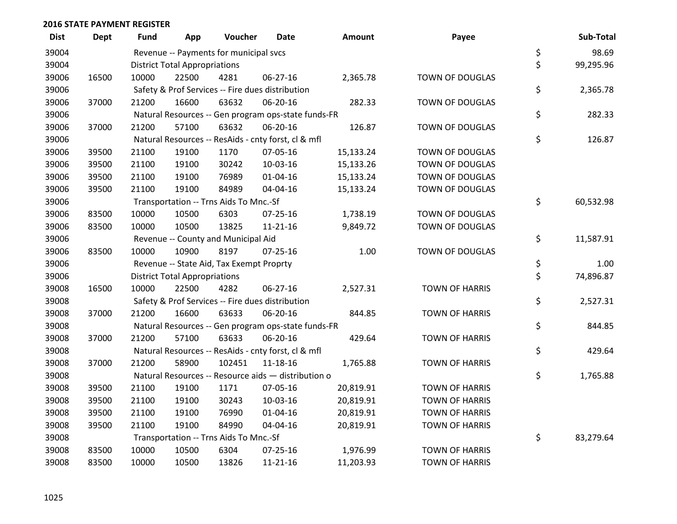| <b>Dist</b> | <b>Dept</b> | Fund  | App                                  | Voucher                                          | <b>Date</b>                                         | <b>Amount</b> | Payee                 | Sub-Total       |
|-------------|-------------|-------|--------------------------------------|--------------------------------------------------|-----------------------------------------------------|---------------|-----------------------|-----------------|
| 39004       |             |       |                                      | Revenue -- Payments for municipal svcs           |                                                     |               |                       | \$<br>98.69     |
| 39004       |             |       | <b>District Total Appropriations</b> |                                                  |                                                     |               |                       | \$<br>99,295.96 |
| 39006       | 16500       | 10000 | 22500                                | 4281                                             | 06-27-16                                            | 2,365.78      | TOWN OF DOUGLAS       |                 |
| 39006       |             |       |                                      | Safety & Prof Services -- Fire dues distribution |                                                     |               |                       | \$<br>2,365.78  |
| 39006       | 37000       | 21200 | 16600                                | 63632                                            | 06-20-16                                            | 282.33        | TOWN OF DOUGLAS       |                 |
| 39006       |             |       |                                      |                                                  | Natural Resources -- Gen program ops-state funds-FR |               |                       | \$<br>282.33    |
| 39006       | 37000       | 21200 | 57100                                | 63632                                            | 06-20-16                                            | 126.87        | TOWN OF DOUGLAS       |                 |
| 39006       |             |       |                                      |                                                  | Natural Resources -- ResAids - cnty forst, cl & mfl |               |                       | \$<br>126.87    |
| 39006       | 39500       | 21100 | 19100                                | 1170                                             | 07-05-16                                            | 15,133.24     | TOWN OF DOUGLAS       |                 |
| 39006       | 39500       | 21100 | 19100                                | 30242                                            | 10-03-16                                            | 15,133.26     | TOWN OF DOUGLAS       |                 |
| 39006       | 39500       | 21100 | 19100                                | 76989                                            | $01 - 04 - 16$                                      | 15,133.24     | TOWN OF DOUGLAS       |                 |
| 39006       | 39500       | 21100 | 19100                                | 84989                                            | 04-04-16                                            | 15,133.24     | TOWN OF DOUGLAS       |                 |
| 39006       |             |       |                                      | Transportation -- Trns Aids To Mnc.-Sf           |                                                     |               |                       | \$<br>60,532.98 |
| 39006       | 83500       | 10000 | 10500                                | 6303                                             | $07 - 25 - 16$                                      | 1,738.19      | TOWN OF DOUGLAS       |                 |
| 39006       | 83500       | 10000 | 10500                                | 13825                                            | $11 - 21 - 16$                                      | 9,849.72      | TOWN OF DOUGLAS       |                 |
| 39006       |             |       |                                      | Revenue -- County and Municipal Aid              |                                                     |               |                       | \$<br>11,587.91 |
| 39006       | 83500       | 10000 | 10900                                | 8197                                             | $07 - 25 - 16$                                      | 1.00          | TOWN OF DOUGLAS       |                 |
| 39006       |             |       |                                      | Revenue -- State Aid, Tax Exempt Proprty         |                                                     |               |                       | \$<br>1.00      |
| 39006       |             |       | <b>District Total Appropriations</b> |                                                  |                                                     |               |                       | \$<br>74,896.87 |
| 39008       | 16500       | 10000 | 22500                                | 4282                                             | 06-27-16                                            | 2,527.31      | <b>TOWN OF HARRIS</b> |                 |
| 39008       |             |       |                                      | Safety & Prof Services -- Fire dues distribution |                                                     |               |                       | \$<br>2,527.31  |
| 39008       | 37000       | 21200 | 16600                                | 63633                                            | 06-20-16                                            | 844.85        | <b>TOWN OF HARRIS</b> |                 |
| 39008       |             |       |                                      |                                                  | Natural Resources -- Gen program ops-state funds-FR |               |                       | \$<br>844.85    |
| 39008       | 37000       | 21200 | 57100                                | 63633                                            | 06-20-16                                            | 429.64        | <b>TOWN OF HARRIS</b> |                 |
| 39008       |             |       |                                      |                                                  | Natural Resources -- ResAids - cnty forst, cl & mfl |               |                       | \$<br>429.64    |
| 39008       | 37000       | 21200 | 58900                                | 102451                                           | 11-18-16                                            | 1,765.88      | <b>TOWN OF HARRIS</b> |                 |
| 39008       |             |       |                                      |                                                  | Natural Resources -- Resource aids - distribution o |               |                       | \$<br>1,765.88  |
| 39008       | 39500       | 21100 | 19100                                | 1171                                             | 07-05-16                                            | 20,819.91     | <b>TOWN OF HARRIS</b> |                 |
| 39008       | 39500       | 21100 | 19100                                | 30243                                            | 10-03-16                                            | 20,819.91     | <b>TOWN OF HARRIS</b> |                 |
| 39008       | 39500       | 21100 | 19100                                | 76990                                            | $01 - 04 - 16$                                      | 20,819.91     | <b>TOWN OF HARRIS</b> |                 |
| 39008       | 39500       | 21100 | 19100                                | 84990                                            | 04-04-16                                            | 20,819.91     | <b>TOWN OF HARRIS</b> |                 |
| 39008       |             |       |                                      | Transportation -- Trns Aids To Mnc.-Sf           |                                                     |               |                       | \$<br>83,279.64 |
| 39008       | 83500       | 10000 | 10500                                | 6304                                             | $07 - 25 - 16$                                      | 1,976.99      | <b>TOWN OF HARRIS</b> |                 |
| 39008       | 83500       | 10000 | 10500                                | 13826                                            | $11 - 21 - 16$                                      | 11,203.93     | <b>TOWN OF HARRIS</b> |                 |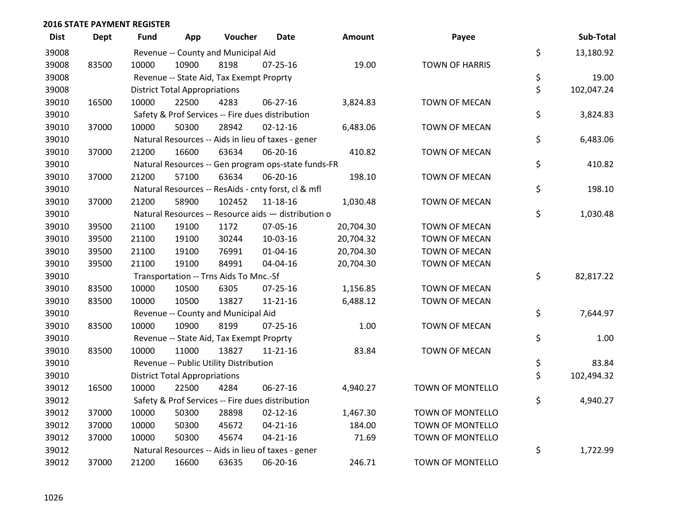| <b>Dist</b> | <b>Dept</b> | <b>Fund</b> | App                                  | Voucher                                  | <b>Date</b>                                         | Amount    | Payee                   | Sub-Total        |
|-------------|-------------|-------------|--------------------------------------|------------------------------------------|-----------------------------------------------------|-----------|-------------------------|------------------|
| 39008       |             |             |                                      | Revenue -- County and Municipal Aid      |                                                     |           |                         | \$<br>13,180.92  |
| 39008       | 83500       | 10000       | 10900                                | 8198                                     | $07 - 25 - 16$                                      | 19.00     | <b>TOWN OF HARRIS</b>   |                  |
| 39008       |             |             |                                      | Revenue -- State Aid, Tax Exempt Proprty |                                                     |           |                         | \$<br>19.00      |
| 39008       |             |             | <b>District Total Appropriations</b> |                                          |                                                     |           |                         | \$<br>102,047.24 |
| 39010       | 16500       | 10000       | 22500                                | 4283                                     | $06 - 27 - 16$                                      | 3,824.83  | TOWN OF MECAN           |                  |
| 39010       |             |             |                                      |                                          | Safety & Prof Services -- Fire dues distribution    |           |                         | \$<br>3,824.83   |
| 39010       | 37000       | 10000       | 50300                                | 28942                                    | $02 - 12 - 16$                                      | 6,483.06  | TOWN OF MECAN           |                  |
| 39010       |             |             |                                      |                                          | Natural Resources -- Aids in lieu of taxes - gener  |           |                         | \$<br>6,483.06   |
| 39010       | 37000       | 21200       | 16600                                | 63634                                    | 06-20-16                                            | 410.82    | TOWN OF MECAN           |                  |
| 39010       |             |             |                                      |                                          | Natural Resources -- Gen program ops-state funds-FR |           |                         | \$<br>410.82     |
| 39010       | 37000       | 21200       | 57100                                | 63634                                    | 06-20-16                                            | 198.10    | TOWN OF MECAN           |                  |
| 39010       |             |             |                                      |                                          | Natural Resources -- ResAids - cnty forst, cl & mfl |           |                         | \$<br>198.10     |
| 39010       | 37000       | 21200       | 58900                                | 102452                                   | 11-18-16                                            | 1,030.48  | <b>TOWN OF MECAN</b>    |                  |
| 39010       |             |             |                                      |                                          | Natural Resources -- Resource aids - distribution o |           |                         | \$<br>1,030.48   |
| 39010       | 39500       | 21100       | 19100                                | 1172                                     | 07-05-16                                            | 20,704.30 | <b>TOWN OF MECAN</b>    |                  |
| 39010       | 39500       | 21100       | 19100                                | 30244                                    | 10-03-16                                            | 20,704.32 | TOWN OF MECAN           |                  |
| 39010       | 39500       | 21100       | 19100                                | 76991                                    | $01 - 04 - 16$                                      | 20,704.30 | TOWN OF MECAN           |                  |
| 39010       | 39500       | 21100       | 19100                                | 84991                                    | 04-04-16                                            | 20,704.30 | <b>TOWN OF MECAN</b>    |                  |
| 39010       |             |             |                                      | Transportation -- Trns Aids To Mnc.-Sf   |                                                     |           |                         | \$<br>82,817.22  |
| 39010       | 83500       | 10000       | 10500                                | 6305                                     | 07-25-16                                            | 1,156.85  | TOWN OF MECAN           |                  |
| 39010       | 83500       | 10000       | 10500                                | 13827                                    | $11 - 21 - 16$                                      | 6,488.12  | TOWN OF MECAN           |                  |
| 39010       |             |             |                                      | Revenue -- County and Municipal Aid      |                                                     |           |                         | \$<br>7,644.97   |
| 39010       | 83500       | 10000       | 10900                                | 8199                                     | $07 - 25 - 16$                                      | 1.00      | TOWN OF MECAN           |                  |
| 39010       |             |             |                                      | Revenue -- State Aid, Tax Exempt Proprty |                                                     |           |                         | \$<br>1.00       |
| 39010       | 83500       | 10000       | 11000                                | 13827                                    | 11-21-16                                            | 83.84     | <b>TOWN OF MECAN</b>    |                  |
| 39010       |             |             |                                      | Revenue -- Public Utility Distribution   |                                                     |           |                         | \$<br>83.84      |
| 39010       |             |             | <b>District Total Appropriations</b> |                                          |                                                     |           |                         | \$<br>102,494.32 |
| 39012       | 16500       | 10000       | 22500                                | 4284                                     | 06-27-16                                            | 4,940.27  | TOWN OF MONTELLO        |                  |
| 39012       |             |             |                                      |                                          | Safety & Prof Services -- Fire dues distribution    |           |                         | \$<br>4,940.27   |
| 39012       | 37000       | 10000       | 50300                                | 28898                                    | $02 - 12 - 16$                                      | 1,467.30  | <b>TOWN OF MONTELLO</b> |                  |
| 39012       | 37000       | 10000       | 50300                                | 45672                                    | $04 - 21 - 16$                                      | 184.00    | <b>TOWN OF MONTELLO</b> |                  |
| 39012       | 37000       | 10000       | 50300                                | 45674                                    | $04 - 21 - 16$                                      | 71.69     | TOWN OF MONTELLO        |                  |
| 39012       |             |             |                                      |                                          | Natural Resources -- Aids in lieu of taxes - gener  |           |                         | \$<br>1,722.99   |
| 39012       | 37000       | 21200       | 16600                                | 63635                                    | 06-20-16                                            | 246.71    | <b>TOWN OF MONTELLO</b> |                  |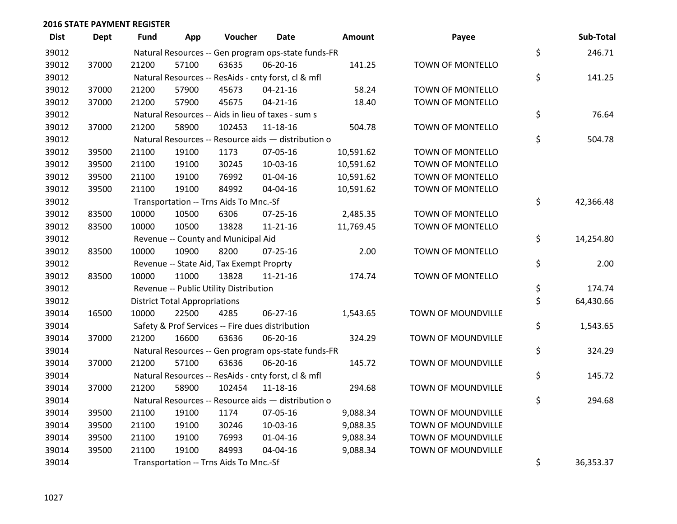| <b>Dist</b> | <b>Dept</b> | <b>Fund</b> | App                                  | Voucher                                  | <b>Date</b>                                         | Amount    | Payee                   | Sub-Total       |
|-------------|-------------|-------------|--------------------------------------|------------------------------------------|-----------------------------------------------------|-----------|-------------------------|-----------------|
| 39012       |             |             |                                      |                                          | Natural Resources -- Gen program ops-state funds-FR |           |                         | \$<br>246.71    |
| 39012       | 37000       | 21200       | 57100                                | 63635                                    | 06-20-16                                            | 141.25    | TOWN OF MONTELLO        |                 |
| 39012       |             |             |                                      |                                          | Natural Resources -- ResAids - cnty forst, cl & mfl |           |                         | \$<br>141.25    |
| 39012       | 37000       | 21200       | 57900                                | 45673                                    | $04 - 21 - 16$                                      | 58.24     | TOWN OF MONTELLO        |                 |
| 39012       | 37000       | 21200       | 57900                                | 45675                                    | $04 - 21 - 16$                                      | 18.40     | <b>TOWN OF MONTELLO</b> |                 |
| 39012       |             |             |                                      |                                          | Natural Resources -- Aids in lieu of taxes - sum s  |           |                         | \$<br>76.64     |
| 39012       | 37000       | 21200       | 58900                                | 102453                                   | 11-18-16                                            | 504.78    | TOWN OF MONTELLO        |                 |
| 39012       |             |             |                                      |                                          | Natural Resources -- Resource aids - distribution o |           |                         | \$<br>504.78    |
| 39012       | 39500       | 21100       | 19100                                | 1173                                     | 07-05-16                                            | 10,591.62 | <b>TOWN OF MONTELLO</b> |                 |
| 39012       | 39500       | 21100       | 19100                                | 30245                                    | 10-03-16                                            | 10,591.62 | TOWN OF MONTELLO        |                 |
| 39012       | 39500       | 21100       | 19100                                | 76992                                    | 01-04-16                                            | 10,591.62 | TOWN OF MONTELLO        |                 |
| 39012       | 39500       | 21100       | 19100                                | 84992                                    | 04-04-16                                            | 10,591.62 | <b>TOWN OF MONTELLO</b> |                 |
| 39012       |             |             |                                      | Transportation -- Trns Aids To Mnc.-Sf   |                                                     |           |                         | \$<br>42,366.48 |
| 39012       | 83500       | 10000       | 10500                                | 6306                                     | 07-25-16                                            | 2,485.35  | <b>TOWN OF MONTELLO</b> |                 |
| 39012       | 83500       | 10000       | 10500                                | 13828                                    | $11 - 21 - 16$                                      | 11,769.45 | TOWN OF MONTELLO        |                 |
| 39012       |             |             |                                      | Revenue -- County and Municipal Aid      |                                                     |           |                         | \$<br>14,254.80 |
| 39012       | 83500       | 10000       | 10900                                | 8200                                     | $07 - 25 - 16$                                      | 2.00      | <b>TOWN OF MONTELLO</b> |                 |
| 39012       |             |             |                                      | Revenue -- State Aid, Tax Exempt Proprty |                                                     |           |                         | \$<br>2.00      |
| 39012       | 83500       | 10000       | 11000                                | 13828                                    | $11 - 21 - 16$                                      | 174.74    | TOWN OF MONTELLO        |                 |
| 39012       |             |             |                                      | Revenue -- Public Utility Distribution   |                                                     |           |                         | \$<br>174.74    |
| 39012       |             |             | <b>District Total Appropriations</b> |                                          |                                                     |           |                         | \$<br>64,430.66 |
| 39014       | 16500       | 10000       | 22500                                | 4285                                     | $06 - 27 - 16$                                      | 1,543.65  | TOWN OF MOUNDVILLE      |                 |
| 39014       |             |             |                                      |                                          | Safety & Prof Services -- Fire dues distribution    |           |                         | \$<br>1,543.65  |
| 39014       | 37000       | 21200       | 16600                                | 63636                                    | 06-20-16                                            | 324.29    | TOWN OF MOUNDVILLE      |                 |
| 39014       |             |             |                                      |                                          | Natural Resources -- Gen program ops-state funds-FR |           |                         | \$<br>324.29    |
| 39014       | 37000       | 21200       | 57100                                | 63636                                    | 06-20-16                                            | 145.72    | TOWN OF MOUNDVILLE      |                 |
| 39014       |             |             |                                      |                                          | Natural Resources -- ResAids - cnty forst, cl & mfl |           |                         | \$<br>145.72    |
| 39014       | 37000       | 21200       | 58900                                | 102454                                   | 11-18-16                                            | 294.68    | TOWN OF MOUNDVILLE      |                 |
| 39014       |             |             |                                      |                                          | Natural Resources -- Resource aids - distribution o |           |                         | \$<br>294.68    |
| 39014       | 39500       | 21100       | 19100                                | 1174                                     | 07-05-16                                            | 9,088.34  | TOWN OF MOUNDVILLE      |                 |
| 39014       | 39500       | 21100       | 19100                                | 30246                                    | 10-03-16                                            | 9,088.35  | TOWN OF MOUNDVILLE      |                 |
| 39014       | 39500       | 21100       | 19100                                | 76993                                    | $01 - 04 - 16$                                      | 9,088.34  | TOWN OF MOUNDVILLE      |                 |
| 39014       | 39500       | 21100       | 19100                                | 84993                                    | 04-04-16                                            | 9,088.34  | TOWN OF MOUNDVILLE      |                 |
| 39014       |             |             |                                      | Transportation -- Trns Aids To Mnc.-Sf   |                                                     |           |                         | \$<br>36,353.37 |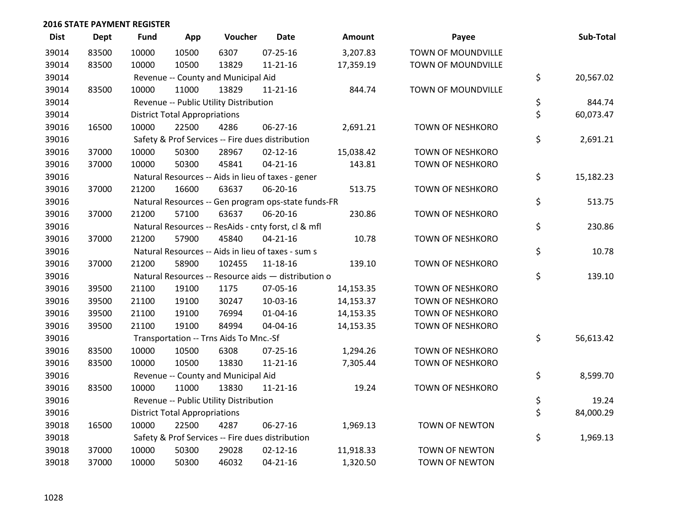| <b>Dist</b> | <b>Dept</b> | <b>Fund</b> | App                                  | Voucher                                | <b>Date</b>                                         | <b>Amount</b> | Payee                   | Sub-Total       |
|-------------|-------------|-------------|--------------------------------------|----------------------------------------|-----------------------------------------------------|---------------|-------------------------|-----------------|
| 39014       | 83500       | 10000       | 10500                                | 6307                                   | $07 - 25 - 16$                                      | 3,207.83      | TOWN OF MOUNDVILLE      |                 |
| 39014       | 83500       | 10000       | 10500                                | 13829                                  | $11 - 21 - 16$                                      | 17,359.19     | TOWN OF MOUNDVILLE      |                 |
| 39014       |             |             |                                      | Revenue -- County and Municipal Aid    |                                                     |               |                         | \$<br>20,567.02 |
| 39014       | 83500       | 10000       | 11000                                | 13829                                  | $11 - 21 - 16$                                      | 844.74        | TOWN OF MOUNDVILLE      |                 |
| 39014       |             |             |                                      | Revenue -- Public Utility Distribution |                                                     |               |                         | \$<br>844.74    |
| 39014       |             |             | <b>District Total Appropriations</b> |                                        |                                                     |               |                         | \$<br>60,073.47 |
| 39016       | 16500       | 10000       | 22500                                | 4286                                   | 06-27-16                                            | 2,691.21      | <b>TOWN OF NESHKORO</b> |                 |
| 39016       |             |             |                                      |                                        | Safety & Prof Services -- Fire dues distribution    |               |                         | \$<br>2,691.21  |
| 39016       | 37000       | 10000       | 50300                                | 28967                                  | $02 - 12 - 16$                                      | 15,038.42     | <b>TOWN OF NESHKORO</b> |                 |
| 39016       | 37000       | 10000       | 50300                                | 45841                                  | $04 - 21 - 16$                                      | 143.81        | <b>TOWN OF NESHKORO</b> |                 |
| 39016       |             |             |                                      |                                        | Natural Resources -- Aids in lieu of taxes - gener  |               |                         | \$<br>15,182.23 |
| 39016       | 37000       | 21200       | 16600                                | 63637                                  | 06-20-16                                            | 513.75        | <b>TOWN OF NESHKORO</b> |                 |
| 39016       |             |             |                                      |                                        | Natural Resources -- Gen program ops-state funds-FR |               |                         | \$<br>513.75    |
| 39016       | 37000       | 21200       | 57100                                | 63637                                  | 06-20-16                                            | 230.86        | <b>TOWN OF NESHKORO</b> |                 |
| 39016       |             |             |                                      |                                        | Natural Resources -- ResAids - cnty forst, cl & mfl |               |                         | \$<br>230.86    |
| 39016       | 37000       | 21200       | 57900                                | 45840                                  | $04 - 21 - 16$                                      | 10.78         | <b>TOWN OF NESHKORO</b> |                 |
| 39016       |             |             |                                      |                                        | Natural Resources -- Aids in lieu of taxes - sum s  |               |                         | \$<br>10.78     |
| 39016       | 37000       | 21200       | 58900                                | 102455                                 | $11 - 18 - 16$                                      | 139.10        | <b>TOWN OF NESHKORO</b> |                 |
| 39016       |             |             |                                      |                                        | Natural Resources -- Resource aids - distribution o |               |                         | \$<br>139.10    |
| 39016       | 39500       | 21100       | 19100                                | 1175                                   | 07-05-16                                            | 14,153.35     | <b>TOWN OF NESHKORO</b> |                 |
| 39016       | 39500       | 21100       | 19100                                | 30247                                  | 10-03-16                                            | 14,153.37     | <b>TOWN OF NESHKORO</b> |                 |
| 39016       | 39500       | 21100       | 19100                                | 76994                                  | $01 - 04 - 16$                                      | 14,153.35     | <b>TOWN OF NESHKORO</b> |                 |
| 39016       | 39500       | 21100       | 19100                                | 84994                                  | 04-04-16                                            | 14,153.35     | <b>TOWN OF NESHKORO</b> |                 |
| 39016       |             |             |                                      | Transportation -- Trns Aids To Mnc.-Sf |                                                     |               |                         | \$<br>56,613.42 |
| 39016       | 83500       | 10000       | 10500                                | 6308                                   | $07 - 25 - 16$                                      | 1,294.26      | <b>TOWN OF NESHKORO</b> |                 |
| 39016       | 83500       | 10000       | 10500                                | 13830                                  | $11 - 21 - 16$                                      | 7,305.44      | <b>TOWN OF NESHKORO</b> |                 |
| 39016       |             |             |                                      | Revenue -- County and Municipal Aid    |                                                     |               |                         | \$<br>8,599.70  |
| 39016       | 83500       | 10000       | 11000                                | 13830                                  | $11 - 21 - 16$                                      | 19.24         | <b>TOWN OF NESHKORO</b> |                 |
| 39016       |             |             |                                      | Revenue -- Public Utility Distribution |                                                     |               |                         | \$<br>19.24     |
| 39016       |             |             | <b>District Total Appropriations</b> |                                        |                                                     |               |                         | \$<br>84,000.29 |
| 39018       | 16500       | 10000       | 22500                                | 4287                                   | 06-27-16                                            | 1,969.13      | TOWN OF NEWTON          |                 |
| 39018       |             |             |                                      |                                        | Safety & Prof Services -- Fire dues distribution    |               |                         | \$<br>1,969.13  |
| 39018       | 37000       | 10000       | 50300                                | 29028                                  | $02 - 12 - 16$                                      | 11,918.33     | <b>TOWN OF NEWTON</b>   |                 |
| 39018       | 37000       | 10000       | 50300                                | 46032                                  | $04 - 21 - 16$                                      | 1,320.50      | <b>TOWN OF NEWTON</b>   |                 |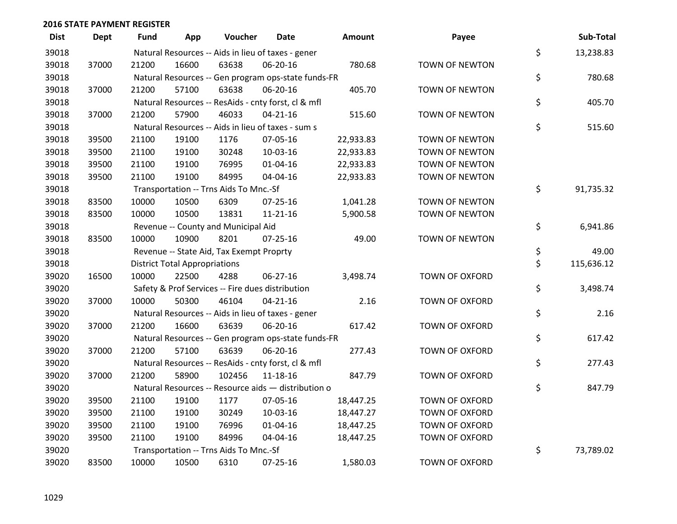| <b>Dist</b> | <b>Dept</b> | <b>Fund</b> | App                                  | Voucher                                             | <b>Date</b>    | Amount    | Payee                 | Sub-Total        |
|-------------|-------------|-------------|--------------------------------------|-----------------------------------------------------|----------------|-----------|-----------------------|------------------|
| 39018       |             |             |                                      | Natural Resources -- Aids in lieu of taxes - gener  |                |           |                       | \$<br>13,238.83  |
| 39018       | 37000       | 21200       | 16600                                | 63638                                               | 06-20-16       | 780.68    | <b>TOWN OF NEWTON</b> |                  |
| 39018       |             |             |                                      | Natural Resources -- Gen program ops-state funds-FR |                |           |                       | \$<br>780.68     |
| 39018       | 37000       | 21200       | 57100                                | 63638                                               | 06-20-16       | 405.70    | <b>TOWN OF NEWTON</b> |                  |
| 39018       |             |             |                                      | Natural Resources -- ResAids - cnty forst, cl & mfl |                |           |                       | \$<br>405.70     |
| 39018       | 37000       | 21200       | 57900                                | 46033                                               | $04 - 21 - 16$ | 515.60    | TOWN OF NEWTON        |                  |
| 39018       |             |             |                                      | Natural Resources -- Aids in lieu of taxes - sum s  |                |           |                       | \$<br>515.60     |
| 39018       | 39500       | 21100       | 19100                                | 1176                                                | 07-05-16       | 22,933.83 | TOWN OF NEWTON        |                  |
| 39018       | 39500       | 21100       | 19100                                | 30248                                               | 10-03-16       | 22,933.83 | <b>TOWN OF NEWTON</b> |                  |
| 39018       | 39500       | 21100       | 19100                                | 76995                                               | 01-04-16       | 22,933.83 | TOWN OF NEWTON        |                  |
| 39018       | 39500       | 21100       | 19100                                | 84995                                               | 04-04-16       | 22,933.83 | TOWN OF NEWTON        |                  |
| 39018       |             |             |                                      | Transportation -- Trns Aids To Mnc.-Sf              |                |           |                       | \$<br>91,735.32  |
| 39018       | 83500       | 10000       | 10500                                | 6309                                                | $07 - 25 - 16$ | 1,041.28  | <b>TOWN OF NEWTON</b> |                  |
| 39018       | 83500       | 10000       | 10500                                | 13831                                               | 11-21-16       | 5,900.58  | TOWN OF NEWTON        |                  |
| 39018       |             |             |                                      | Revenue -- County and Municipal Aid                 |                |           |                       | \$<br>6,941.86   |
| 39018       | 83500       | 10000       | 10900                                | 8201                                                | $07 - 25 - 16$ | 49.00     | <b>TOWN OF NEWTON</b> |                  |
| 39018       |             |             |                                      | Revenue -- State Aid, Tax Exempt Proprty            |                |           |                       | \$<br>49.00      |
| 39018       |             |             | <b>District Total Appropriations</b> |                                                     |                |           |                       | \$<br>115,636.12 |
| 39020       | 16500       | 10000       | 22500                                | 4288                                                | 06-27-16       | 3,498.74  | <b>TOWN OF OXFORD</b> |                  |
| 39020       |             |             |                                      | Safety & Prof Services -- Fire dues distribution    |                |           |                       | \$<br>3,498.74   |
| 39020       | 37000       | 10000       | 50300                                | 46104                                               | $04 - 21 - 16$ | 2.16      | TOWN OF OXFORD        |                  |
| 39020       |             |             |                                      | Natural Resources -- Aids in lieu of taxes - gener  |                |           |                       | \$<br>2.16       |
| 39020       | 37000       | 21200       | 16600                                | 63639                                               | 06-20-16       | 617.42    | TOWN OF OXFORD        |                  |
| 39020       |             |             |                                      | Natural Resources -- Gen program ops-state funds-FR |                |           |                       | \$<br>617.42     |
| 39020       | 37000       | 21200       | 57100                                | 63639                                               | 06-20-16       | 277.43    | <b>TOWN OF OXFORD</b> |                  |
| 39020       |             |             |                                      | Natural Resources -- ResAids - cnty forst, cl & mfl |                |           |                       | \$<br>277.43     |
| 39020       | 37000       | 21200       | 58900                                | 102456                                              | 11-18-16       | 847.79    | <b>TOWN OF OXFORD</b> |                  |
| 39020       |             |             |                                      | Natural Resources -- Resource aids - distribution o |                |           |                       | \$<br>847.79     |
| 39020       | 39500       | 21100       | 19100                                | 1177                                                | 07-05-16       | 18,447.25 | <b>TOWN OF OXFORD</b> |                  |
| 39020       | 39500       | 21100       | 19100                                | 30249                                               | 10-03-16       | 18,447.27 | <b>TOWN OF OXFORD</b> |                  |
| 39020       | 39500       | 21100       | 19100                                | 76996                                               | $01 - 04 - 16$ | 18,447.25 | TOWN OF OXFORD        |                  |
| 39020       | 39500       | 21100       | 19100                                | 84996                                               | 04-04-16       | 18,447.25 | <b>TOWN OF OXFORD</b> |                  |
| 39020       |             |             |                                      | Transportation -- Trns Aids To Mnc.-Sf              |                |           |                       | \$<br>73,789.02  |
| 39020       | 83500       | 10000       | 10500                                | 6310                                                | $07 - 25 - 16$ | 1,580.03  | <b>TOWN OF OXFORD</b> |                  |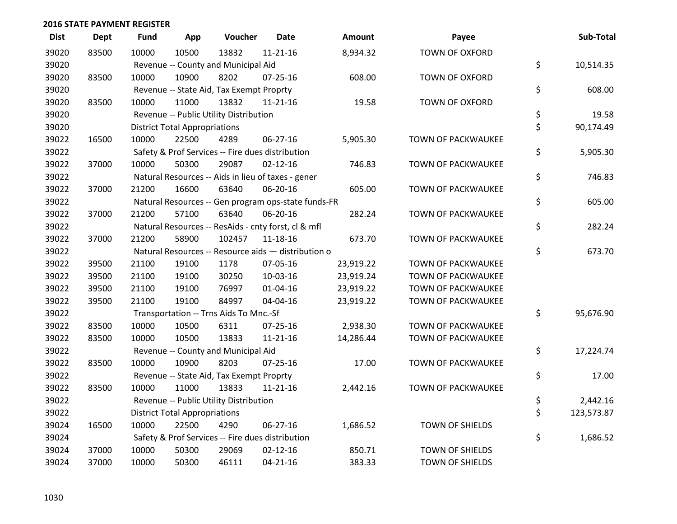| <b>Dist</b> | <b>Dept</b> | <b>Fund</b> | App                                  | Voucher                                  | <b>Date</b>                                         | <b>Amount</b> | Payee                     | Sub-Total        |
|-------------|-------------|-------------|--------------------------------------|------------------------------------------|-----------------------------------------------------|---------------|---------------------------|------------------|
| 39020       | 83500       | 10000       | 10500                                | 13832                                    | $11 - 21 - 16$                                      | 8,934.32      | TOWN OF OXFORD            |                  |
| 39020       |             |             |                                      | Revenue -- County and Municipal Aid      |                                                     |               |                           | \$<br>10,514.35  |
| 39020       | 83500       | 10000       | 10900                                | 8202                                     | $07 - 25 - 16$                                      | 608.00        | <b>TOWN OF OXFORD</b>     |                  |
| 39020       |             |             |                                      | Revenue -- State Aid, Tax Exempt Proprty |                                                     |               |                           | \$<br>608.00     |
| 39020       | 83500       | 10000       | 11000                                | 13832                                    | $11 - 21 - 16$                                      | 19.58         | <b>TOWN OF OXFORD</b>     |                  |
| 39020       |             |             |                                      | Revenue -- Public Utility Distribution   |                                                     |               |                           | \$<br>19.58      |
| 39020       |             |             | <b>District Total Appropriations</b> |                                          |                                                     |               |                           | \$<br>90,174.49  |
| 39022       | 16500       | 10000       | 22500                                | 4289                                     | 06-27-16                                            | 5,905.30      | TOWN OF PACKWAUKEE        |                  |
| 39022       |             |             |                                      |                                          | Safety & Prof Services -- Fire dues distribution    |               |                           | \$<br>5,905.30   |
| 39022       | 37000       | 10000       | 50300                                | 29087                                    | $02 - 12 - 16$                                      | 746.83        | <b>TOWN OF PACKWAUKEE</b> |                  |
| 39022       |             |             |                                      |                                          | Natural Resources -- Aids in lieu of taxes - gener  |               |                           | \$<br>746.83     |
| 39022       | 37000       | 21200       | 16600                                | 63640                                    | 06-20-16                                            | 605.00        | <b>TOWN OF PACKWAUKEE</b> |                  |
| 39022       |             |             |                                      |                                          | Natural Resources -- Gen program ops-state funds-FR |               |                           | \$<br>605.00     |
| 39022       | 37000       | 21200       | 57100                                | 63640                                    | 06-20-16                                            | 282.24        | TOWN OF PACKWAUKEE        |                  |
| 39022       |             |             |                                      |                                          | Natural Resources -- ResAids - cnty forst, cl & mfl |               |                           | \$<br>282.24     |
| 39022       | 37000       | 21200       | 58900                                | 102457                                   | 11-18-16                                            | 673.70        | TOWN OF PACKWAUKEE        |                  |
| 39022       |             |             |                                      |                                          | Natural Resources -- Resource aids - distribution o |               |                           | \$<br>673.70     |
| 39022       | 39500       | 21100       | 19100                                | 1178                                     | 07-05-16                                            | 23,919.22     | TOWN OF PACKWAUKEE        |                  |
| 39022       | 39500       | 21100       | 19100                                | 30250                                    | 10-03-16                                            | 23,919.24     | <b>TOWN OF PACKWAUKEE</b> |                  |
| 39022       | 39500       | 21100       | 19100                                | 76997                                    | 01-04-16                                            | 23,919.22     | <b>TOWN OF PACKWAUKEE</b> |                  |
| 39022       | 39500       | 21100       | 19100                                | 84997                                    | 04-04-16                                            | 23,919.22     | <b>TOWN OF PACKWAUKEE</b> |                  |
| 39022       |             |             |                                      | Transportation -- Trns Aids To Mnc.-Sf   |                                                     |               |                           | \$<br>95,676.90  |
| 39022       | 83500       | 10000       | 10500                                | 6311                                     | $07 - 25 - 16$                                      | 2,938.30      | TOWN OF PACKWAUKEE        |                  |
| 39022       | 83500       | 10000       | 10500                                | 13833                                    | $11 - 21 - 16$                                      | 14,286.44     | <b>TOWN OF PACKWAUKEE</b> |                  |
| 39022       |             |             |                                      | Revenue -- County and Municipal Aid      |                                                     |               |                           | \$<br>17,224.74  |
| 39022       | 83500       | 10000       | 10900                                | 8203                                     | $07 - 25 - 16$                                      | 17.00         | <b>TOWN OF PACKWAUKEE</b> |                  |
| 39022       |             |             |                                      | Revenue -- State Aid, Tax Exempt Proprty |                                                     |               |                           | \$<br>17.00      |
| 39022       | 83500       | 10000       | 11000                                | 13833                                    | $11 - 21 - 16$                                      | 2,442.16      | TOWN OF PACKWAUKEE        |                  |
| 39022       |             |             |                                      | Revenue -- Public Utility Distribution   |                                                     |               |                           | \$<br>2,442.16   |
| 39022       |             |             | <b>District Total Appropriations</b> |                                          |                                                     |               |                           | \$<br>123,573.87 |
| 39024       | 16500       | 10000       | 22500                                | 4290                                     | 06-27-16                                            | 1,686.52      | TOWN OF SHIELDS           |                  |
| 39024       |             |             |                                      |                                          | Safety & Prof Services -- Fire dues distribution    |               |                           | \$<br>1,686.52   |
| 39024       | 37000       | 10000       | 50300                                | 29069                                    | $02 - 12 - 16$                                      | 850.71        | <b>TOWN OF SHIELDS</b>    |                  |
| 39024       | 37000       | 10000       | 50300                                | 46111                                    | $04 - 21 - 16$                                      | 383.33        | TOWN OF SHIELDS           |                  |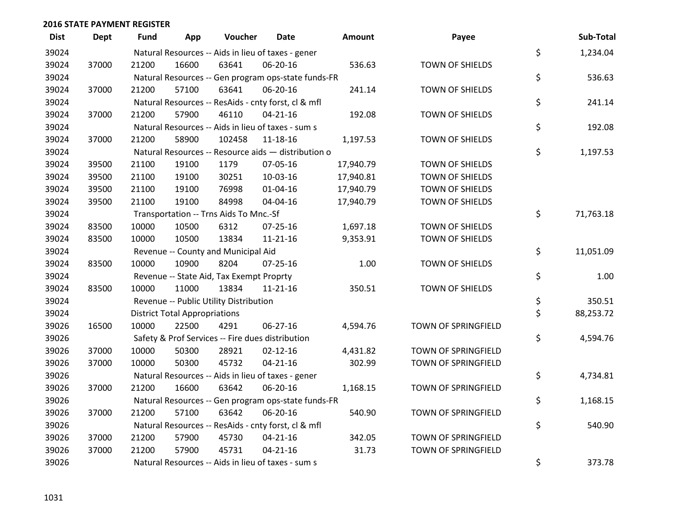| <b>Dist</b> | <b>Dept</b> | <b>Fund</b> | App                                  | Voucher                                             | <b>Date</b>    | Amount    | Payee                  | Sub-Total       |
|-------------|-------------|-------------|--------------------------------------|-----------------------------------------------------|----------------|-----------|------------------------|-----------------|
| 39024       |             |             |                                      | Natural Resources -- Aids in lieu of taxes - gener  |                |           |                        | \$<br>1,234.04  |
| 39024       | 37000       | 21200       | 16600                                | 63641                                               | 06-20-16       | 536.63    | TOWN OF SHIELDS        |                 |
| 39024       |             |             |                                      | Natural Resources -- Gen program ops-state funds-FR |                |           |                        | \$<br>536.63    |
| 39024       | 37000       | 21200       | 57100                                | 63641                                               | 06-20-16       | 241.14    | TOWN OF SHIELDS        |                 |
| 39024       |             |             |                                      | Natural Resources -- ResAids - cnty forst, cl & mfl |                |           |                        | \$<br>241.14    |
| 39024       | 37000       | 21200       | 57900                                | 46110                                               | $04 - 21 - 16$ | 192.08    | TOWN OF SHIELDS        |                 |
| 39024       |             |             |                                      | Natural Resources -- Aids in lieu of taxes - sum s  |                |           |                        | \$<br>192.08    |
| 39024       | 37000       | 21200       | 58900                                | 102458                                              | 11-18-16       | 1,197.53  | TOWN OF SHIELDS        |                 |
| 39024       |             |             |                                      | Natural Resources -- Resource aids - distribution o |                |           |                        | \$<br>1,197.53  |
| 39024       | 39500       | 21100       | 19100                                | 1179                                                | 07-05-16       | 17,940.79 | TOWN OF SHIELDS        |                 |
| 39024       | 39500       | 21100       | 19100                                | 30251                                               | 10-03-16       | 17,940.81 | TOWN OF SHIELDS        |                 |
| 39024       | 39500       | 21100       | 19100                                | 76998                                               | $01 - 04 - 16$ | 17,940.79 | <b>TOWN OF SHIELDS</b> |                 |
| 39024       | 39500       | 21100       | 19100                                | 84998                                               | 04-04-16       | 17,940.79 | TOWN OF SHIELDS        |                 |
| 39024       |             |             |                                      | Transportation -- Trns Aids To Mnc.-Sf              |                |           |                        | \$<br>71,763.18 |
| 39024       | 83500       | 10000       | 10500                                | 6312                                                | 07-25-16       | 1,697.18  | TOWN OF SHIELDS        |                 |
| 39024       | 83500       | 10000       | 10500                                | 13834                                               | $11 - 21 - 16$ | 9,353.91  | TOWN OF SHIELDS        |                 |
| 39024       |             |             |                                      | Revenue -- County and Municipal Aid                 |                |           |                        | \$<br>11,051.09 |
| 39024       | 83500       | 10000       | 10900                                | 8204                                                | 07-25-16       | 1.00      | TOWN OF SHIELDS        |                 |
| 39024       |             |             |                                      | Revenue -- State Aid, Tax Exempt Proprty            |                |           |                        | \$<br>1.00      |
| 39024       | 83500       | 10000       | 11000                                | 13834                                               | $11 - 21 - 16$ | 350.51    | TOWN OF SHIELDS        |                 |
| 39024       |             |             |                                      | Revenue -- Public Utility Distribution              |                |           |                        | \$<br>350.51    |
| 39024       |             |             | <b>District Total Appropriations</b> |                                                     |                |           |                        | \$<br>88,253.72 |
| 39026       | 16500       | 10000       | 22500                                | 4291                                                | $06 - 27 - 16$ | 4,594.76  | TOWN OF SPRINGFIELD    |                 |
| 39026       |             |             |                                      | Safety & Prof Services -- Fire dues distribution    |                |           |                        | \$<br>4,594.76  |
| 39026       | 37000       | 10000       | 50300                                | 28921                                               | $02 - 12 - 16$ | 4,431.82  | TOWN OF SPRINGFIELD    |                 |
| 39026       | 37000       | 10000       | 50300                                | 45732                                               | $04 - 21 - 16$ | 302.99    | TOWN OF SPRINGFIELD    |                 |
| 39026       |             |             |                                      | Natural Resources -- Aids in lieu of taxes - gener  |                |           |                        | \$<br>4,734.81  |
| 39026       | 37000       | 21200       | 16600                                | 63642                                               | 06-20-16       | 1,168.15  | TOWN OF SPRINGFIELD    |                 |
| 39026       |             |             |                                      | Natural Resources -- Gen program ops-state funds-FR |                |           |                        | \$<br>1,168.15  |
| 39026       | 37000       | 21200       | 57100                                | 63642                                               | 06-20-16       | 540.90    | TOWN OF SPRINGFIELD    |                 |
| 39026       |             |             |                                      | Natural Resources -- ResAids - cnty forst, cl & mfl |                |           |                        | \$<br>540.90    |
| 39026       | 37000       | 21200       | 57900                                | 45730                                               | $04 - 21 - 16$ | 342.05    | TOWN OF SPRINGFIELD    |                 |
| 39026       | 37000       | 21200       | 57900                                | 45731                                               | $04 - 21 - 16$ | 31.73     | TOWN OF SPRINGFIELD    |                 |
| 39026       |             |             |                                      | Natural Resources -- Aids in lieu of taxes - sum s  |                |           |                        | \$<br>373.78    |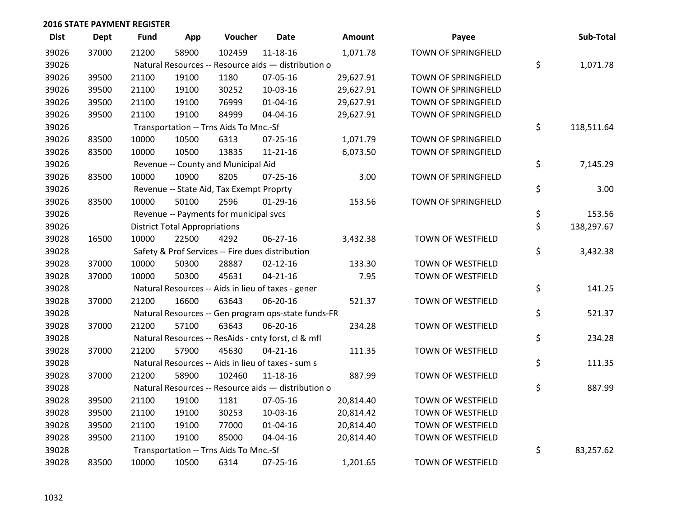| <b>Dist</b> | <b>Dept</b> | <b>Fund</b> | App                                  | Voucher                                             | <b>Date</b>    | <b>Amount</b> | Payee                    | Sub-Total        |
|-------------|-------------|-------------|--------------------------------------|-----------------------------------------------------|----------------|---------------|--------------------------|------------------|
| 39026       | 37000       | 21200       | 58900                                | 102459                                              | 11-18-16       | 1,071.78      | TOWN OF SPRINGFIELD      |                  |
| 39026       |             |             |                                      | Natural Resources -- Resource aids - distribution o |                |               |                          | \$<br>1,071.78   |
| 39026       | 39500       | 21100       | 19100                                | 1180                                                | 07-05-16       | 29,627.91     | TOWN OF SPRINGFIELD      |                  |
| 39026       | 39500       | 21100       | 19100                                | 30252                                               | 10-03-16       | 29,627.91     | TOWN OF SPRINGFIELD      |                  |
| 39026       | 39500       | 21100       | 19100                                | 76999                                               | $01 - 04 - 16$ | 29,627.91     | TOWN OF SPRINGFIELD      |                  |
| 39026       | 39500       | 21100       | 19100                                | 84999                                               | 04-04-16       | 29,627.91     | TOWN OF SPRINGFIELD      |                  |
| 39026       |             |             |                                      | Transportation -- Trns Aids To Mnc.-Sf              |                |               |                          | \$<br>118,511.64 |
| 39026       | 83500       | 10000       | 10500                                | 6313                                                | $07 - 25 - 16$ | 1,071.79      | TOWN OF SPRINGFIELD      |                  |
| 39026       | 83500       | 10000       | 10500                                | 13835                                               | $11 - 21 - 16$ | 6,073.50      | TOWN OF SPRINGFIELD      |                  |
| 39026       |             |             |                                      | Revenue -- County and Municipal Aid                 |                |               |                          | \$<br>7,145.29   |
| 39026       | 83500       | 10000       | 10900                                | 8205                                                | $07 - 25 - 16$ | 3.00          | TOWN OF SPRINGFIELD      |                  |
| 39026       |             |             |                                      | Revenue -- State Aid, Tax Exempt Proprty            |                |               |                          | \$<br>3.00       |
| 39026       | 83500       | 10000       | 50100                                | 2596                                                | 01-29-16       | 153.56        | TOWN OF SPRINGFIELD      |                  |
| 39026       |             |             |                                      | Revenue -- Payments for municipal svcs              |                |               |                          | \$<br>153.56     |
| 39026       |             |             | <b>District Total Appropriations</b> |                                                     |                |               |                          | \$<br>138,297.67 |
| 39028       | 16500       | 10000       | 22500                                | 4292                                                | 06-27-16       | 3,432.38      | TOWN OF WESTFIELD        |                  |
| 39028       |             |             |                                      | Safety & Prof Services -- Fire dues distribution    |                |               |                          | \$<br>3,432.38   |
| 39028       | 37000       | 10000       | 50300                                | 28887                                               | $02 - 12 - 16$ | 133.30        | TOWN OF WESTFIELD        |                  |
| 39028       | 37000       | 10000       | 50300                                | 45631                                               | $04 - 21 - 16$ | 7.95          | TOWN OF WESTFIELD        |                  |
| 39028       |             |             |                                      | Natural Resources -- Aids in lieu of taxes - gener  |                |               |                          | \$<br>141.25     |
| 39028       | 37000       | 21200       | 16600                                | 63643                                               | 06-20-16       | 521.37        | TOWN OF WESTFIELD        |                  |
| 39028       |             |             |                                      | Natural Resources -- Gen program ops-state funds-FR |                |               |                          | \$<br>521.37     |
| 39028       | 37000       | 21200       | 57100                                | 63643                                               | 06-20-16       | 234.28        | TOWN OF WESTFIELD        |                  |
| 39028       |             |             |                                      | Natural Resources -- ResAids - cnty forst, cl & mfl |                |               |                          | \$<br>234.28     |
| 39028       | 37000       | 21200       | 57900                                | 45630                                               | $04 - 21 - 16$ | 111.35        | TOWN OF WESTFIELD        |                  |
| 39028       |             |             |                                      | Natural Resources -- Aids in lieu of taxes - sum s  |                |               |                          | \$<br>111.35     |
| 39028       | 37000       | 21200       | 58900                                | 102460                                              | 11-18-16       | 887.99        | TOWN OF WESTFIELD        |                  |
| 39028       |             |             |                                      | Natural Resources -- Resource aids - distribution o |                |               |                          | \$<br>887.99     |
| 39028       | 39500       | 21100       | 19100                                | 1181                                                | 07-05-16       | 20,814.40     | TOWN OF WESTFIELD        |                  |
| 39028       | 39500       | 21100       | 19100                                | 30253                                               | 10-03-16       | 20,814.42     | TOWN OF WESTFIELD        |                  |
| 39028       | 39500       | 21100       | 19100                                | 77000                                               | 01-04-16       | 20,814.40     | TOWN OF WESTFIELD        |                  |
| 39028       | 39500       | 21100       | 19100                                | 85000                                               | 04-04-16       | 20,814.40     | <b>TOWN OF WESTFIELD</b> |                  |
| 39028       |             |             |                                      | Transportation -- Trns Aids To Mnc.-Sf              |                |               |                          | \$<br>83,257.62  |
| 39028       | 83500       | 10000       | 10500                                | 6314                                                | $07 - 25 - 16$ | 1,201.65      | <b>TOWN OF WESTFIELD</b> |                  |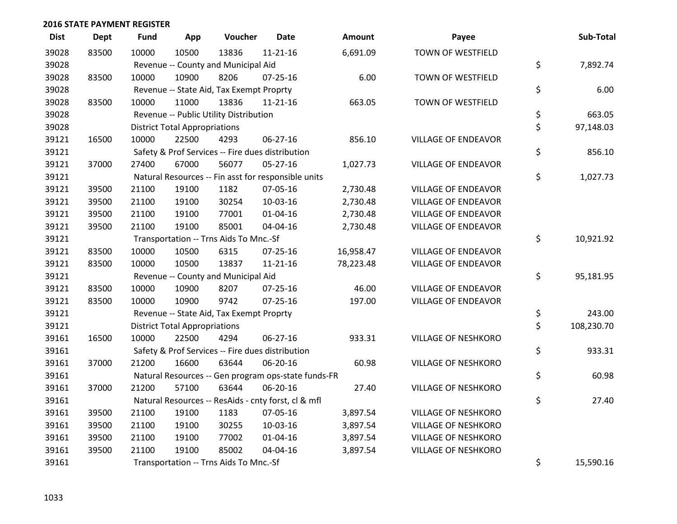| <b>Dist</b> | <b>Dept</b> | <b>Fund</b> | App                                  | Voucher                                             | <b>Date</b>    | Amount    | Payee                      | Sub-Total        |
|-------------|-------------|-------------|--------------------------------------|-----------------------------------------------------|----------------|-----------|----------------------------|------------------|
| 39028       | 83500       | 10000       | 10500                                | 13836                                               | $11 - 21 - 16$ | 6,691.09  | <b>TOWN OF WESTFIELD</b>   |                  |
| 39028       |             |             |                                      | Revenue -- County and Municipal Aid                 |                |           |                            | \$<br>7,892.74   |
| 39028       | 83500       | 10000       | 10900                                | 8206                                                | $07 - 25 - 16$ | 6.00      | TOWN OF WESTFIELD          |                  |
| 39028       |             |             |                                      | Revenue -- State Aid, Tax Exempt Proprty            |                |           |                            | \$<br>6.00       |
| 39028       | 83500       | 10000       | 11000                                | 13836                                               | $11 - 21 - 16$ | 663.05    | TOWN OF WESTFIELD          |                  |
| 39028       |             |             |                                      | Revenue -- Public Utility Distribution              |                |           |                            | \$<br>663.05     |
| 39028       |             |             | <b>District Total Appropriations</b> |                                                     |                |           |                            | \$<br>97,148.03  |
| 39121       | 16500       | 10000       | 22500                                | 4293                                                | $06 - 27 - 16$ | 856.10    | <b>VILLAGE OF ENDEAVOR</b> |                  |
| 39121       |             |             |                                      | Safety & Prof Services -- Fire dues distribution    |                |           |                            | \$<br>856.10     |
| 39121       | 37000       | 27400       | 67000                                | 56077                                               | 05-27-16       | 1,027.73  | <b>VILLAGE OF ENDEAVOR</b> |                  |
| 39121       |             |             |                                      | Natural Resources -- Fin asst for responsible units |                |           |                            | \$<br>1,027.73   |
| 39121       | 39500       | 21100       | 19100                                | 1182                                                | 07-05-16       | 2,730.48  | <b>VILLAGE OF ENDEAVOR</b> |                  |
| 39121       | 39500       | 21100       | 19100                                | 30254                                               | 10-03-16       | 2,730.48  | <b>VILLAGE OF ENDEAVOR</b> |                  |
| 39121       | 39500       | 21100       | 19100                                | 77001                                               | $01 - 04 - 16$ | 2,730.48  | <b>VILLAGE OF ENDEAVOR</b> |                  |
| 39121       | 39500       | 21100       | 19100                                | 85001                                               | 04-04-16       | 2,730.48  | <b>VILLAGE OF ENDEAVOR</b> |                  |
| 39121       |             |             |                                      | Transportation -- Trns Aids To Mnc.-Sf              |                |           |                            | \$<br>10,921.92  |
| 39121       | 83500       | 10000       | 10500                                | 6315                                                | 07-25-16       | 16,958.47 | <b>VILLAGE OF ENDEAVOR</b> |                  |
| 39121       | 83500       | 10000       | 10500                                | 13837                                               | $11 - 21 - 16$ | 78,223.48 | <b>VILLAGE OF ENDEAVOR</b> |                  |
| 39121       |             |             |                                      | Revenue -- County and Municipal Aid                 |                |           |                            | \$<br>95,181.95  |
| 39121       | 83500       | 10000       | 10900                                | 8207                                                | $07 - 25 - 16$ | 46.00     | <b>VILLAGE OF ENDEAVOR</b> |                  |
| 39121       | 83500       | 10000       | 10900                                | 9742                                                | $07 - 25 - 16$ | 197.00    | <b>VILLAGE OF ENDEAVOR</b> |                  |
| 39121       |             |             |                                      | Revenue -- State Aid, Tax Exempt Proprty            |                |           |                            | \$<br>243.00     |
| 39121       |             |             | <b>District Total Appropriations</b> |                                                     |                |           |                            | \$<br>108,230.70 |
| 39161       | 16500       | 10000       | 22500                                | 4294                                                | 06-27-16       | 933.31    | VILLAGE OF NESHKORO        |                  |
| 39161       |             |             |                                      | Safety & Prof Services -- Fire dues distribution    |                |           |                            | \$<br>933.31     |
| 39161       | 37000       | 21200       | 16600                                | 63644                                               | 06-20-16       | 60.98     | <b>VILLAGE OF NESHKORO</b> |                  |
| 39161       |             |             |                                      | Natural Resources -- Gen program ops-state funds-FR |                |           |                            | \$<br>60.98      |
| 39161       | 37000       | 21200       | 57100                                | 63644                                               | 06-20-16       | 27.40     | <b>VILLAGE OF NESHKORO</b> |                  |
| 39161       |             |             |                                      | Natural Resources -- ResAids - cnty forst, cl & mfl |                |           |                            | \$<br>27.40      |
| 39161       | 39500       | 21100       | 19100                                | 1183                                                | 07-05-16       | 3,897.54  | <b>VILLAGE OF NESHKORO</b> |                  |
| 39161       | 39500       | 21100       | 19100                                | 30255                                               | 10-03-16       | 3,897.54  | <b>VILLAGE OF NESHKORO</b> |                  |
| 39161       | 39500       | 21100       | 19100                                | 77002                                               | $01 - 04 - 16$ | 3,897.54  | <b>VILLAGE OF NESHKORO</b> |                  |
| 39161       | 39500       | 21100       | 19100                                | 85002                                               | 04-04-16       | 3,897.54  | VILLAGE OF NESHKORO        |                  |
| 39161       |             |             |                                      | Transportation -- Trns Aids To Mnc.-Sf              |                |           |                            | \$<br>15,590.16  |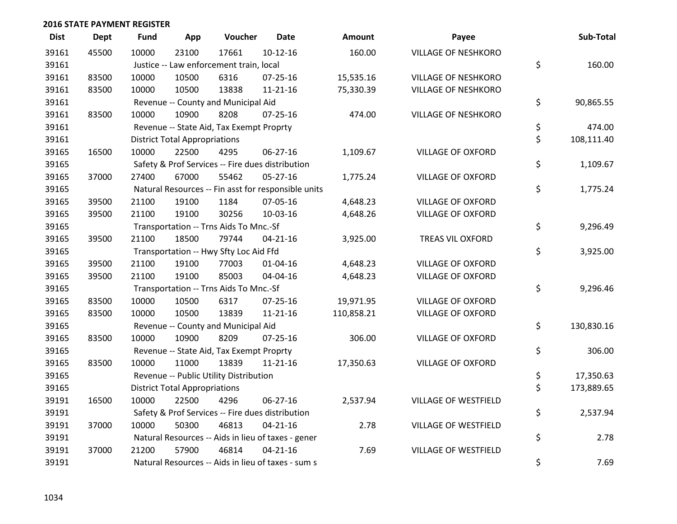| <b>Dist</b> | <b>Dept</b> | <b>Fund</b> | App                                  | Voucher                                          | <b>Date</b>                                         | Amount     | Payee                      | Sub-Total        |
|-------------|-------------|-------------|--------------------------------------|--------------------------------------------------|-----------------------------------------------------|------------|----------------------------|------------------|
| 39161       | 45500       | 10000       | 23100                                | 17661                                            | $10-12-16$                                          | 160.00     | <b>VILLAGE OF NESHKORO</b> |                  |
| 39161       |             |             |                                      | Justice -- Law enforcement train, local          |                                                     |            |                            | \$<br>160.00     |
| 39161       | 83500       | 10000       | 10500                                | 6316                                             | 07-25-16                                            | 15,535.16  | <b>VILLAGE OF NESHKORO</b> |                  |
| 39161       | 83500       | 10000       | 10500                                | 13838                                            | $11 - 21 - 16$                                      | 75,330.39  | <b>VILLAGE OF NESHKORO</b> |                  |
| 39161       |             |             |                                      | Revenue -- County and Municipal Aid              |                                                     |            |                            | \$<br>90,865.55  |
| 39161       | 83500       | 10000       | 10900                                | 8208                                             | 07-25-16                                            | 474.00     | VILLAGE OF NESHKORO        |                  |
| 39161       |             |             |                                      | Revenue -- State Aid, Tax Exempt Proprty         |                                                     |            |                            | \$<br>474.00     |
| 39161       |             |             | <b>District Total Appropriations</b> |                                                  |                                                     |            |                            | \$<br>108,111.40 |
| 39165       | 16500       | 10000       | 22500                                | 4295                                             | 06-27-16                                            | 1,109.67   | <b>VILLAGE OF OXFORD</b>   |                  |
| 39165       |             |             |                                      | Safety & Prof Services -- Fire dues distribution |                                                     |            |                            | \$<br>1,109.67   |
| 39165       | 37000       | 27400       | 67000                                | 55462                                            | 05-27-16                                            | 1,775.24   | <b>VILLAGE OF OXFORD</b>   |                  |
| 39165       |             |             |                                      |                                                  | Natural Resources -- Fin asst for responsible units |            |                            | \$<br>1,775.24   |
| 39165       | 39500       | 21100       | 19100                                | 1184                                             | 07-05-16                                            | 4,648.23   | <b>VILLAGE OF OXFORD</b>   |                  |
| 39165       | 39500       | 21100       | 19100                                | 30256                                            | 10-03-16                                            | 4,648.26   | <b>VILLAGE OF OXFORD</b>   |                  |
| 39165       |             |             |                                      | Transportation -- Trns Aids To Mnc.-Sf           |                                                     |            |                            | \$<br>9,296.49   |
| 39165       | 39500       | 21100       | 18500                                | 79744                                            | $04 - 21 - 16$                                      | 3,925.00   | TREAS VIL OXFORD           |                  |
| 39165       |             |             |                                      | Transportation -- Hwy Sfty Loc Aid Ffd           |                                                     |            |                            | \$<br>3,925.00   |
| 39165       | 39500       | 21100       | 19100                                | 77003                                            | $01 - 04 - 16$                                      | 4,648.23   | <b>VILLAGE OF OXFORD</b>   |                  |
| 39165       | 39500       | 21100       | 19100                                | 85003                                            | 04-04-16                                            | 4,648.23   | <b>VILLAGE OF OXFORD</b>   |                  |
| 39165       |             |             |                                      | Transportation -- Trns Aids To Mnc.-Sf           |                                                     |            |                            | \$<br>9,296.46   |
| 39165       | 83500       | 10000       | 10500                                | 6317                                             | $07 - 25 - 16$                                      | 19,971.95  | <b>VILLAGE OF OXFORD</b>   |                  |
| 39165       | 83500       | 10000       | 10500                                | 13839                                            | $11 - 21 - 16$                                      | 110,858.21 | <b>VILLAGE OF OXFORD</b>   |                  |
| 39165       |             |             |                                      | Revenue -- County and Municipal Aid              |                                                     |            |                            | \$<br>130,830.16 |
| 39165       | 83500       | 10000       | 10900                                | 8209                                             | $07 - 25 - 16$                                      | 306.00     | <b>VILLAGE OF OXFORD</b>   |                  |
| 39165       |             |             |                                      | Revenue -- State Aid, Tax Exempt Proprty         |                                                     |            |                            | \$<br>306.00     |
| 39165       | 83500       | 10000       | 11000                                | 13839                                            | 11-21-16                                            | 17,350.63  | <b>VILLAGE OF OXFORD</b>   |                  |
| 39165       |             |             |                                      | Revenue -- Public Utility Distribution           |                                                     |            |                            | \$<br>17,350.63  |
| 39165       |             |             | <b>District Total Appropriations</b> |                                                  |                                                     |            |                            | \$<br>173,889.65 |
| 39191       | 16500       | 10000       | 22500                                | 4296                                             | $06 - 27 - 16$                                      | 2,537.94   | VILLAGE OF WESTFIELD       |                  |
| 39191       |             |             |                                      | Safety & Prof Services -- Fire dues distribution |                                                     |            |                            | \$<br>2,537.94   |
| 39191       | 37000       | 10000       | 50300                                | 46813                                            | $04 - 21 - 16$                                      | 2.78       | VILLAGE OF WESTFIELD       |                  |
| 39191       |             |             |                                      |                                                  | Natural Resources -- Aids in lieu of taxes - gener  |            |                            | \$<br>2.78       |
| 39191       | 37000       | 21200       | 57900                                | 46814                                            | $04 - 21 - 16$                                      | 7.69       | VILLAGE OF WESTFIELD       |                  |
| 39191       |             |             |                                      |                                                  | Natural Resources -- Aids in lieu of taxes - sum s  |            |                            | \$<br>7.69       |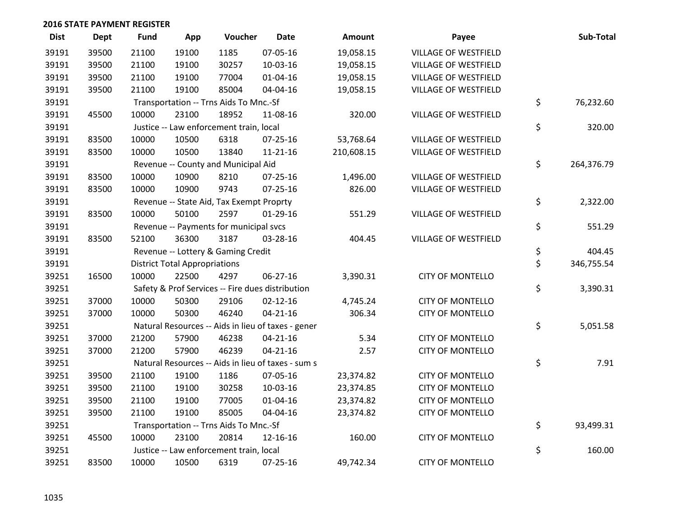| <b>Dist</b> | <b>Dept</b> | <b>Fund</b> | App                                  | Voucher                                  | <b>Date</b>                                        | Amount     | Payee                       | Sub-Total        |
|-------------|-------------|-------------|--------------------------------------|------------------------------------------|----------------------------------------------------|------------|-----------------------------|------------------|
| 39191       | 39500       | 21100       | 19100                                | 1185                                     | 07-05-16                                           | 19,058.15  | <b>VILLAGE OF WESTFIELD</b> |                  |
| 39191       | 39500       | 21100       | 19100                                | 30257                                    | 10-03-16                                           | 19,058.15  | VILLAGE OF WESTFIELD        |                  |
| 39191       | 39500       | 21100       | 19100                                | 77004                                    | $01 - 04 - 16$                                     | 19,058.15  | VILLAGE OF WESTFIELD        |                  |
| 39191       | 39500       | 21100       | 19100                                | 85004                                    | 04-04-16                                           | 19,058.15  | VILLAGE OF WESTFIELD        |                  |
| 39191       |             |             |                                      | Transportation -- Trns Aids To Mnc.-Sf   |                                                    |            |                             | \$<br>76,232.60  |
| 39191       | 45500       | 10000       | 23100                                | 18952                                    | 11-08-16                                           | 320.00     | VILLAGE OF WESTFIELD        |                  |
| 39191       |             |             |                                      | Justice -- Law enforcement train, local  |                                                    |            |                             | \$<br>320.00     |
| 39191       | 83500       | 10000       | 10500                                | 6318                                     | $07 - 25 - 16$                                     | 53,768.64  | VILLAGE OF WESTFIELD        |                  |
| 39191       | 83500       | 10000       | 10500                                | 13840                                    | $11 - 21 - 16$                                     | 210,608.15 | VILLAGE OF WESTFIELD        |                  |
| 39191       |             |             |                                      | Revenue -- County and Municipal Aid      |                                                    |            |                             | \$<br>264,376.79 |
| 39191       | 83500       | 10000       | 10900                                | 8210                                     | $07 - 25 - 16$                                     | 1,496.00   | VILLAGE OF WESTFIELD        |                  |
| 39191       | 83500       | 10000       | 10900                                | 9743                                     | $07 - 25 - 16$                                     | 826.00     | <b>VILLAGE OF WESTFIELD</b> |                  |
| 39191       |             |             |                                      | Revenue -- State Aid, Tax Exempt Proprty |                                                    |            |                             | \$<br>2,322.00   |
| 39191       | 83500       | 10000       | 50100                                | 2597                                     | $01-29-16$                                         | 551.29     | VILLAGE OF WESTFIELD        |                  |
| 39191       |             |             |                                      | Revenue -- Payments for municipal svcs   |                                                    |            |                             | \$<br>551.29     |
| 39191       | 83500       | 52100       | 36300                                | 3187                                     | 03-28-16                                           | 404.45     | VILLAGE OF WESTFIELD        |                  |
| 39191       |             |             |                                      | Revenue -- Lottery & Gaming Credit       |                                                    |            |                             | \$<br>404.45     |
| 39191       |             |             | <b>District Total Appropriations</b> |                                          |                                                    |            |                             | \$<br>346,755.54 |
| 39251       | 16500       | 10000       | 22500                                | 4297                                     | 06-27-16                                           | 3,390.31   | <b>CITY OF MONTELLO</b>     |                  |
| 39251       |             |             |                                      |                                          | Safety & Prof Services -- Fire dues distribution   |            |                             | \$<br>3,390.31   |
| 39251       | 37000       | 10000       | 50300                                | 29106                                    | $02 - 12 - 16$                                     | 4,745.24   | <b>CITY OF MONTELLO</b>     |                  |
| 39251       | 37000       | 10000       | 50300                                | 46240                                    | $04 - 21 - 16$                                     | 306.34     | <b>CITY OF MONTELLO</b>     |                  |
| 39251       |             |             |                                      |                                          | Natural Resources -- Aids in lieu of taxes - gener |            |                             | \$<br>5,051.58   |
| 39251       | 37000       | 21200       | 57900                                | 46238                                    | $04 - 21 - 16$                                     | 5.34       | <b>CITY OF MONTELLO</b>     |                  |
| 39251       | 37000       | 21200       | 57900                                | 46239                                    | $04 - 21 - 16$                                     | 2.57       | <b>CITY OF MONTELLO</b>     |                  |
| 39251       |             |             |                                      |                                          | Natural Resources -- Aids in lieu of taxes - sum s |            |                             | \$<br>7.91       |
| 39251       | 39500       | 21100       | 19100                                | 1186                                     | 07-05-16                                           | 23,374.82  | <b>CITY OF MONTELLO</b>     |                  |
| 39251       | 39500       | 21100       | 19100                                | 30258                                    | 10-03-16                                           | 23,374.85  | <b>CITY OF MONTELLO</b>     |                  |
| 39251       | 39500       | 21100       | 19100                                | 77005                                    | $01 - 04 - 16$                                     | 23,374.82  | <b>CITY OF MONTELLO</b>     |                  |
| 39251       | 39500       | 21100       | 19100                                | 85005                                    | 04-04-16                                           | 23,374.82  | <b>CITY OF MONTELLO</b>     |                  |
| 39251       |             |             |                                      | Transportation -- Trns Aids To Mnc.-Sf   |                                                    |            |                             | \$<br>93,499.31  |
| 39251       | 45500       | 10000       | 23100                                | 20814                                    | 12-16-16                                           | 160.00     | <b>CITY OF MONTELLO</b>     |                  |
| 39251       |             |             |                                      | Justice -- Law enforcement train, local  |                                                    |            |                             | \$<br>160.00     |
| 39251       | 83500       | 10000       | 10500                                | 6319                                     | $07 - 25 - 16$                                     | 49,742.34  | <b>CITY OF MONTELLO</b>     |                  |